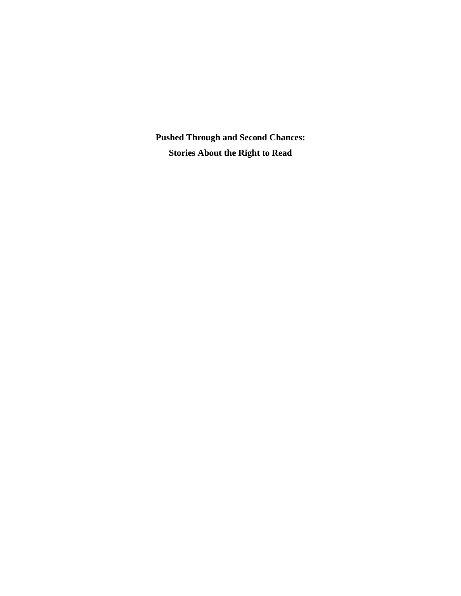**Pushed Through and Second Chances: Stories About the Right to Read**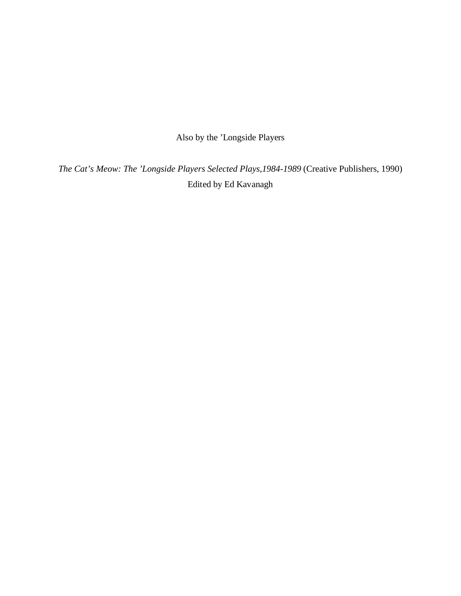Also by the 'Longside Players

*The Cat's Meow: The 'Longside Players Selected Plays,1984-1989* (Creative Publishers, 1990) Edited by Ed Kavanagh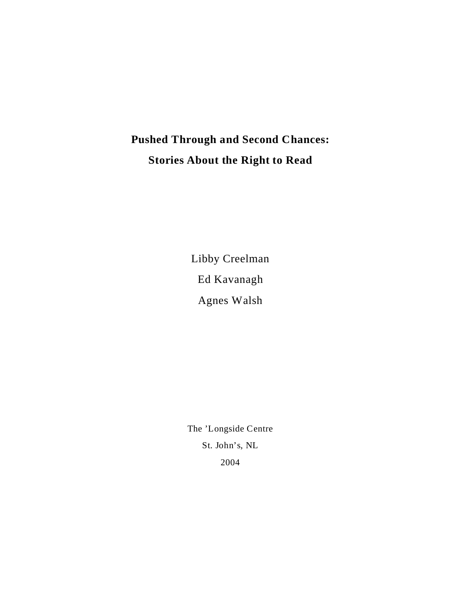# **Pushed Through and Second Chances: Stories About the Right to Read**

Libby Creelman Ed Kavanagh Agnes Walsh

The 'Longside Centre St. John's, NL 2004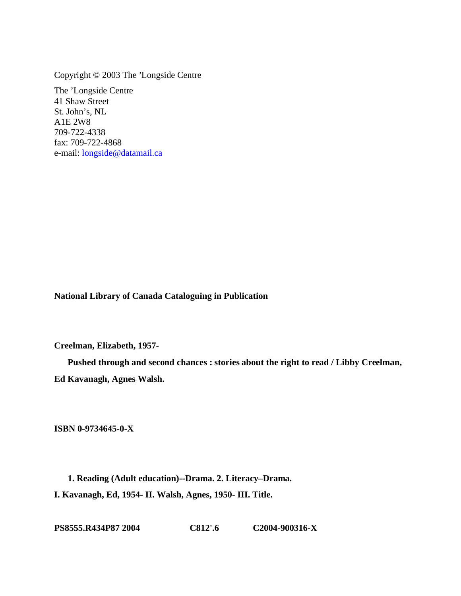Copyright © 2003 The 'Longside Centre

The 'Longside Centre 41 Shaw Street St. John's, NL A1E 2W8 709-722-4338 fax: 709-722-4868 e-mail: [longside@datamail.ca](mailto:longside@datamail.ca)

**National Library of Canada Cataloguing in Publication**

**Creelman, Elizabeth, 1957-**

**Pushed through and second chances : stories about the right to read / Libby Creelman, Ed Kavanagh, Agnes Walsh.**

**ISBN 0-9734645-0-X**

**1. Reading (Adult education)--Drama. 2. Literacy–Drama. I. Kavanagh, Ed, 1954- II. Walsh, Agnes, 1950- III. Title.**

**PS8555.R434P87 2004 C812'.6 C2004-900316-X**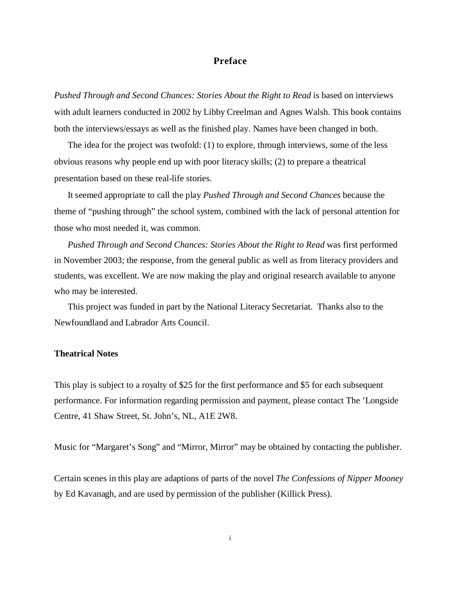# **Preface**

Pushed Through and Second Chances: Stories About the Right to Read is based on interviews with adult learners conducted in 2002 by Libby Creelman and Agnes Walsh. This book contains both the interviews/essays as well as the finished play. Names have been changed in both.

The idea for the project was twofold: (1) to explore, through interviews, some of the less obvious reasons why people end up with poor literacy skills; (2) to prepare a theatrical presentation based on these real-life stories.

It seemed appropriate to call the play *Pushed Through and Second Chances* because the theme of "pushing through" the school system, combined with the lack of personal attention for those who most needed it, was common.

*Pushed Through and Second Chances: Stories About the Right to Read* was first performed in November 2003; the response, from the general public as well as from literacy providers and students, was excellent. We are now making the play and original research available to anyone who may be interested.

This project was funded in part by the National Literacy Secretariat. Thanks also to the Newfoundland and Labrador Arts Council.

## **Theatrical Notes**

This play is subject to a royalty of \$25 for the first performance and \$5 for each subsequent performance. For information regarding permission and payment, please contact The 'Longside Centre, 41 Shaw Street, St. John's, NL, A1E 2W8.

Music for "Margaret's Song" and "Mirror, Mirror" may be obtained by contacting the publisher.

Certain scenes in this play are adaptions of parts of the novel *The Confessions of Nipper Mooney* by Ed Kavanagh, and are used by permission of the publisher (Killick Press).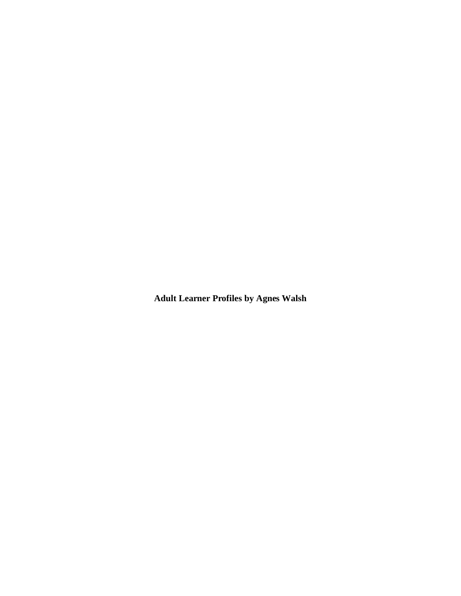**Adult Learner Profiles by Agnes Walsh**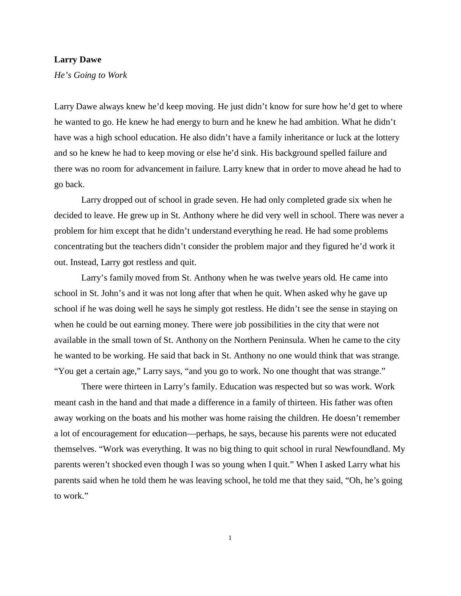## **Larry Dawe**

*He's Going to Work*

Larry Dawe always knew he'd keep moving. He just didn't know for sure how he'd get to where he wanted to go. He knew he had energy to burn and he knew he had ambition. What he didn't have was a high school education. He also didn't have a family inheritance or luck at the lottery and so he knew he had to keep moving or else he'd sink. His background spelled failure and there was no room for advancement in failure. Larry knew that in order to move ahead he had to go back.

Larry dropped out of school in grade seven. He had only completed grade six when he decided to leave. He grew up in St. Anthony where he did very well in school. There was never a problem for him except that he didn't understand everything he read. He had some problems concentrating but the teachers didn't consider the problem major and they figured he'd work it out. Instead, Larry got restless and quit.

Larry's family moved from St. Anthony when he was twelve years old. He came into school in St. John's and it was not long after that when he quit. When asked why he gave up school if he was doing well he says he simply got restless. He didn't see the sense in staying on when he could be out earning money. There were job possibilities in the city that were not available in the small town of St. Anthony on the Northern Peninsula. When he came to the city he wanted to be working. He said that back in St. Anthony no one would think that was strange. "You get a certain age," Larry says, "and you go to work. No one thought that was strange."

There were thirteen in Larry's family. Education was respected but so was work. Work meant cash in the hand and that made a difference in a family of thirteen. His father was often away working on the boats and his mother was home raising the children. He doesn't remember a lot of encouragement for education—perhaps, he says, because his parents were not educated themselves. "Work was everything. It was no big thing to quit school in rural Newfoundland. My parents weren't shocked even though I was so young when I quit." When I asked Larry what his parents said when he told them he was leaving school, he told me that they said, "Oh, he's going to work."

1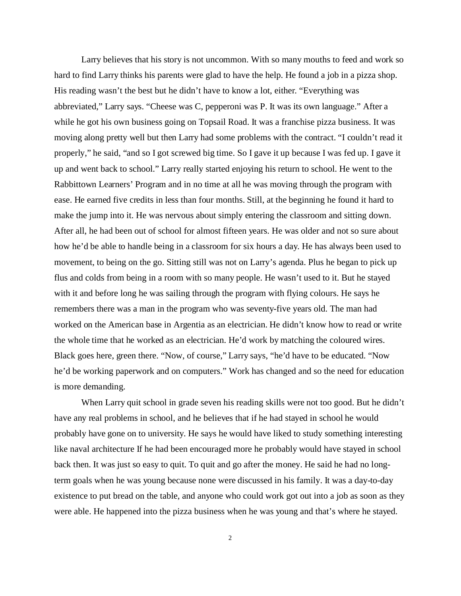Larry believes that his story is not uncommon. With so many mouths to feed and work so hard to find Larry thinks his parents were glad to have the help. He found a job in a pizza shop. His reading wasn't the best but he didn't have to know a lot, either. "Everything was abbreviated," Larry says. "Cheese was C, pepperoni was P. It was its own language." After a while he got his own business going on Topsail Road. It was a franchise pizza business. It was moving along pretty well but then Larry had some problems with the contract. "I couldn't read it properly," he said, "and so I got screwed big time. So I gave it up because I was fed up. I gave it up and went back to school." Larry really started enjoying his return to school. He went to the Rabbittown Learners' Program and in no time at all he was moving through the program with ease. He earned five credits in less than four months. Still, at the beginning he found it hard to make the jump into it. He was nervous about simply entering the classroom and sitting down. After all, he had been out of school for almost fifteen years. He was older and not so sure about how he'd be able to handle being in a classroom for six hours a day. He has always been used to movement, to being on the go. Sitting still was not on Larry's agenda. Plus he began to pick up flus and colds from being in a room with so many people. He wasn't used to it. But he stayed with it and before long he was sailing through the program with flying colours. He says he remembers there was a man in the program who was seventy-five years old. The man had worked on the American base in Argentia as an electrician. He didn't know how to read or write the whole time that he worked as an electrician. He'd work by matching the coloured wires. Black goes here, green there. "Now, of course," Larry says, "he'd have to be educated. "Now he'd be working paperwork and on computers." Work has changed and so the need for education is more demanding.

When Larry quit school in grade seven his reading skills were not too good. But he didn't have any real problems in school, and he believes that if he had stayed in school he would probably have gone on to university. He says he would have liked to study something interesting like naval architecture If he had been encouraged more he probably would have stayed in school back then. It was just so easy to quit. To quit and go after the money. He said he had no longterm goals when he was young because none were discussed in his family. It was a day-to-day existence to put bread on the table, and anyone who could work got out into a job as soon as they were able. He happened into the pizza business when he was young and that's where he stayed.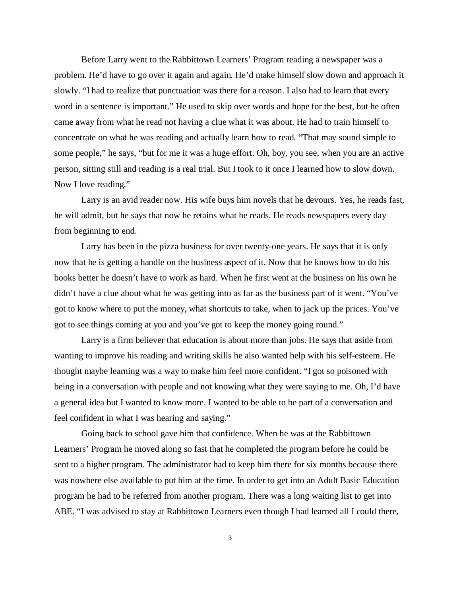Before Larry went to the Rabbittown Learners' Program reading a newspaper was a problem. He'd have to go over it again and again. He'd make himself slow down and approach it slowly. "I had to realize that punctuation was there for a reason. I also had to learn that every word in a sentence is important." He used to skip over words and hope for the best, but he often came away from what he read not having a clue what it was about. He had to train himself to concentrate on what he was reading and actually learn how to read. "That may sound simple to some people," he says, "but for me it was a huge effort. Oh, boy, you see, when you are an active person, sitting still and reading is a real trial. But I took to it once I learned how to slow down. Now I love reading."

Larry is an avid reader now. His wife buys him novels that he devours. Yes, he reads fast, he will admit, but he says that now he retains what he reads. He reads newspapers every day from beginning to end.

Larry has been in the pizza business for over twenty-one years. He says that it is only now that he is getting a handle on the business aspect of it. Now that he knows how to do his books better he doesn't have to work as hard. When he first went at the business on his own he didn't have a clue about what he was getting into as far as the business part of it went. "You've got to know where to put the money, what shortcuts to take, when to jack up the prices. You've got to see things coming at you and you've got to keep the money going round."

Larry is a firm believer that education is about more than jobs. He says that aside from wanting to improve his reading and writing skills he also wanted help with his self-esteem. He thought maybe learning was a way to make him feel more confident. "I got so poisoned with being in a conversation with people and not knowing what they were saying to me. Oh, I'd have a general idea but I wanted to know more. I wanted to be able to be part of a conversation and feel confident in what I was hearing and saying."

Going back to school gave him that confidence. When he was at the Rabbittown Learners' Program he moved along so fast that he completed the program before he could be sent to a higher program. The administrator had to keep him there for six months because there was nowhere else available to put him at the time. In order to get into an Adult Basic Education program he had to be referred from another program. There was a long waiting list to get into ABE. "I was advised to stay at Rabbittown Learners even though I had learned all I could there,

3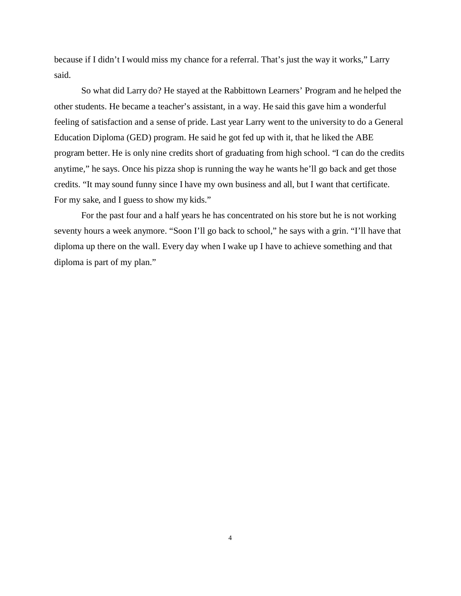because if I didn't I would miss my chance for a referral. That's just the way it works," Larry said.

So what did Larry do? He stayed at the Rabbittown Learners' Program and he helped the other students. He became a teacher's assistant, in a way. He said this gave him a wonderful feeling of satisfaction and a sense of pride. Last year Larry went to the university to do a General Education Diploma (GED) program. He said he got fed up with it, that he liked the ABE program better. He is only nine credits short of graduating from high school. "I can do the credits anytime," he says. Once his pizza shop is running the way he wants he'll go back and get those credits. "It may sound funny since I have my own business and all, but I want that certificate. For my sake, and I guess to show my kids."

For the past four and a half years he has concentrated on his store but he is not working seventy hours a week anymore. "Soon I'll go back to school," he says with a grin. "I'll have that diploma up there on the wall. Every day when I wake up I have to achieve something and that diploma is part of my plan."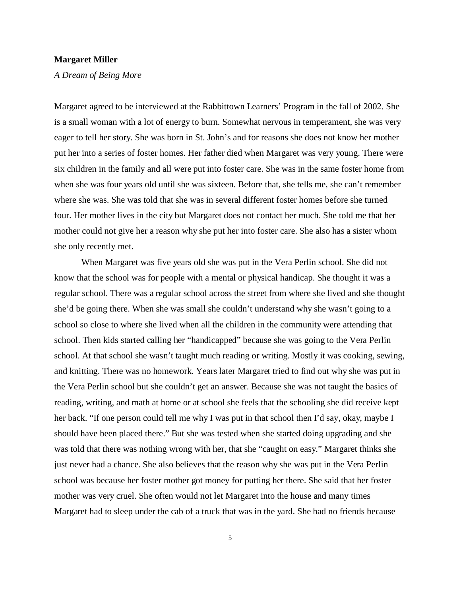#### **Margaret Miller**

*A Dream of Being More*

Margaret agreed to be interviewed at the Rabbittown Learners' Program in the fall of 2002. She is a small woman with a lot of energy to burn. Somewhat nervous in temperament, she was very eager to tell her story. She was born in St. John's and for reasons she does not know her mother put her into a series of foster homes. Her father died when Margaret was very young. There were six children in the family and all were put into foster care. She was in the same foster home from when she was four years old until she was sixteen. Before that, she tells me, she can't remember where she was. She was told that she was in several different foster homes before she turned four. Her mother lives in the city but Margaret does not contact her much. She told me that her mother could not give her a reason why she put her into foster care. She also has a sister whom she only recently met.

When Margaret was five years old she was put in the Vera Perlin school. She did not know that the school was for people with a mental or physical handicap. She thought it was a regular school. There was a regular school across the street from where she lived and she thought she'd be going there. When she was small she couldn't understand why she wasn't going to a school so close to where she lived when all the children in the community were attending that school. Then kids started calling her "handicapped" because she was going to the Vera Perlin school. At that school she wasn't taught much reading or writing. Mostly it was cooking, sewing, and knitting. There was no homework. Years later Margaret tried to find out why she was put in the Vera Perlin school but she couldn't get an answer. Because she was not taught the basics of reading, writing, and math at home or at school she feels that the schooling she did receive kept her back. "If one person could tell me why I was put in that school then I'd say, okay, maybe I should have been placed there." But she was tested when she started doing upgrading and she was told that there was nothing wrong with her, that she "caught on easy." Margaret thinks she just never had a chance. She also believes that the reason why she was put in the Vera Perlin school was because her foster mother got money for putting her there. She said that her foster mother was very cruel. She often would not let Margaret into the house and many times Margaret had to sleep under the cab of a truck that was in the yard. She had no friends because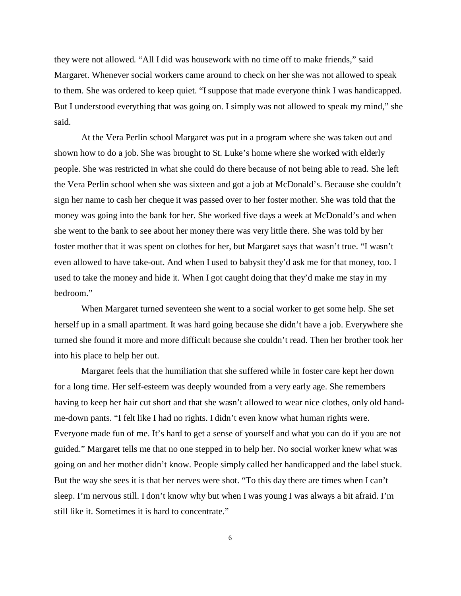they were not allowed. "All I did was housework with no time off to make friends," said Margaret. Whenever social workers came around to check on her she was not allowed to speak to them. She was ordered to keep quiet. "I suppose that made everyone think I was handicapped. But I understood everything that was going on. I simply was not allowed to speak my mind," she said.

At the Vera Perlin school Margaret was put in a program where she was taken out and shown how to do a job. She was brought to St. Luke's home where she worked with elderly people. She was restricted in what she could do there because of not being able to read. She left the Vera Perlin school when she was sixteen and got a job at McDonald's. Because she couldn't sign her name to cash her cheque it was passed over to her foster mother. She was told that the money was going into the bank for her. She worked five days a week at McDonald's and when she went to the bank to see about her money there was very little there. She was told by her foster mother that it was spent on clothes for her, but Margaret says that wasn't true. "I wasn't even allowed to have take-out. And when I used to babysit they'd ask me for that money, too. I used to take the money and hide it. When I got caught doing that they'd make me stay in my bedroom."

When Margaret turned seventeen she went to a social worker to get some help. She set herself up in a small apartment. It was hard going because she didn't have a job. Everywhere she turned she found it more and more difficult because she couldn't read. Then her brother took her into his place to help her out.

Margaret feels that the humiliation that she suffered while in foster care kept her down for a long time. Her self-esteem was deeply wounded from a very early age. She remembers having to keep her hair cut short and that she wasn't allowed to wear nice clothes, only old handme-down pants. "I felt like I had no rights. I didn't even know what human rights were. Everyone made fun of me. It's hard to get a sense of yourself and what you can do if you are not guided." Margaret tells me that no one stepped in to help her. No social worker knew what was going on and her mother didn't know. People simply called her handicapped and the label stuck. But the way she sees it is that her nerves were shot. "To this day there are times when I can't sleep. I'm nervous still. I don't know why but when I was young I was always a bit afraid. I'm still like it. Sometimes it is hard to concentrate."

6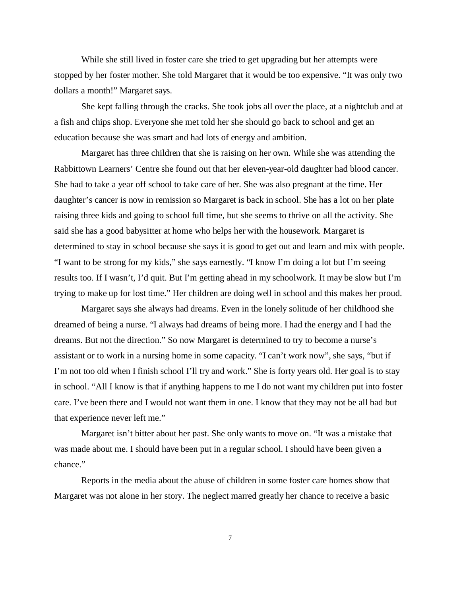While she still lived in foster care she tried to get upgrading but her attempts were stopped by her foster mother. She told Margaret that it would be too expensive. "It was only two dollars a month!" Margaret says.

She kept falling through the cracks. She took jobs all over the place, at a nightclub and at a fish and chips shop. Everyone she met told her she should go back to school and get an education because she was smart and had lots of energy and ambition.

Margaret has three children that she is raising on her own. While she was attending the Rabbittown Learners' Centre she found out that her eleven-year-old daughter had blood cancer. She had to take a year off school to take care of her. She was also pregnant at the time. Her daughter's cancer is now in remission so Margaret is back in school. She has a lot on her plate raising three kids and going to school full time, but she seems to thrive on all the activity. She said she has a good babysitter at home who helps her with the housework. Margaret is determined to stay in school because she says it is good to get out and learn and mix with people. "I want to be strong for my kids," she says earnestly. "I know I'm doing a lot but I'm seeing results too. If I wasn't, I'd quit. But I'm getting ahead in my schoolwork. It may be slow but I'm trying to make up for lost time." Her children are doing well in school and this makes her proud.

Margaret says she always had dreams. Even in the lonely solitude of her childhood she dreamed of being a nurse. "I always had dreams of being more. I had the energy and I had the dreams. But not the direction." So now Margaret is determined to try to become a nurse's assistant or to work in a nursing home in some capacity. "I can't work now", she says, "but if I'm not too old when I finish school I'll try and work." She is forty years old. Her goal is to stay in school. "All I know is that if anything happens to me I do not want my children put into foster care. I've been there and I would not want them in one. I know that they may not be all bad but that experience never left me."

Margaret isn't bitter about her past. She only wants to move on. "It was a mistake that was made about me. I should have been put in a regular school. I should have been given a chance."

Reports in the media about the abuse of children in some foster care homes show that Margaret was not alone in her story. The neglect marred greatly her chance to receive a basic

7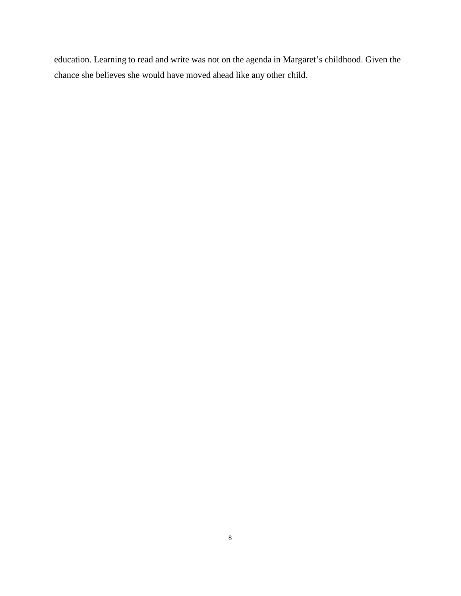education. Learning to read and write was not on the agenda in Margaret's childhood. Given the chance she believes she would have moved ahead like any other child.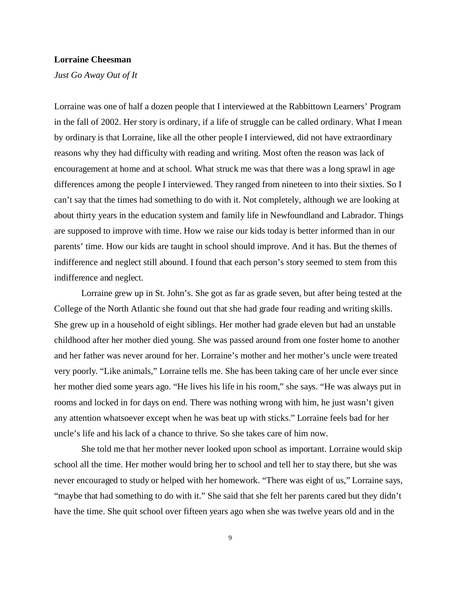## **Lorraine Cheesman**

*Just Go Away Out of It*

Lorraine was one of half a dozen people that I interviewed at the Rabbittown Learners' Program in the fall of 2002. Her story is ordinary, if a life of struggle can be called ordinary. What I mean by ordinary is that Lorraine, like all the other people I interviewed, did not have extraordinary reasons why they had difficulty with reading and writing. Most often the reason was lack of encouragement at home and at school. What struck me was that there was a long sprawl in age differences among the people I interviewed. They ranged from nineteen to into their sixties. So I can't say that the times had something to do with it. Not completely, although we are looking at about thirty years in the education system and family life in Newfoundland and Labrador. Things are supposed to improve with time. How we raise our kids today is better informed than in our parents' time. How our kids are taught in school should improve. And it has. But the themes of indifference and neglect still abound. I found that each person's story seemed to stem from this indifference and neglect.

Lorraine grew up in St. John's. She got as far as grade seven, but after being tested at the College of the North Atlantic she found out that she had grade four reading and writing skills. She grew up in a household of eight siblings. Her mother had grade eleven but had an unstable childhood after her mother died young. She was passed around from one foster home to another and her father was never around for her. Lorraine's mother and her mother's uncle were treated very poorly. "Like animals," Lorraine tells me. She has been taking care of her uncle ever since her mother died some years ago. "He lives his life in his room," she says. "He was always put in rooms and locked in for days on end. There was nothing wrong with him, he just wasn't given any attention whatsoever except when he was beat up with sticks." Lorraine feels bad for her uncle's life and his lack of a chance to thrive. So she takes care of him now.

She told me that her mother never looked upon school as important. Lorraine would skip school all the time. Her mother would bring her to school and tell her to stay there, but she was never encouraged to study or helped with her homework. "There was eight of us," Lorraine says, "maybe that had something to do with it." She said that she felt her parents cared but they didn't have the time. She quit school over fifteen years ago when she was twelve years old and in the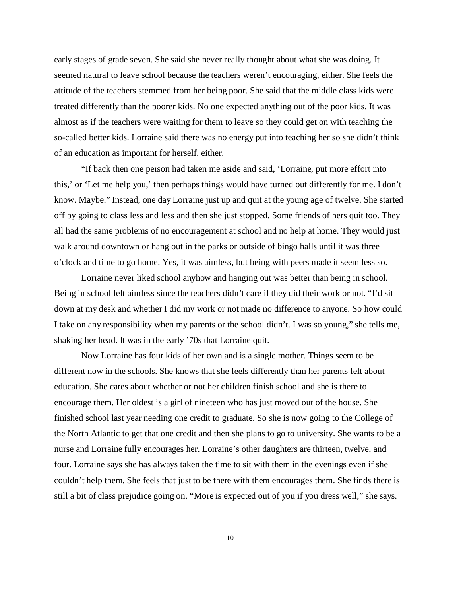early stages of grade seven. She said she never really thought about what she was doing. It seemed natural to leave school because the teachers weren't encouraging, either. She feels the attitude of the teachers stemmed from her being poor. She said that the middle class kids were treated differently than the poorer kids. No one expected anything out of the poor kids. It was almost as if the teachers were waiting for them to leave so they could get on with teaching the so-called better kids. Lorraine said there was no energy put into teaching her so she didn't think of an education as important for herself, either.

"If back then one person had taken me aside and said, 'Lorraine, put more effort into this,' or 'Let me help you,' then perhaps things would have turned out differently for me. I don't know. Maybe." Instead, one day Lorraine just up and quit at the young age of twelve. She started off by going to class less and less and then she just stopped. Some friends of hers quit too. They all had the same problems of no encouragement at school and no help at home. They would just walk around downtown or hang out in the parks or outside of bingo halls until it was three o'clock and time to go home. Yes, it was aimless, but being with peers made it seem less so.

Lorraine never liked school anyhow and hanging out was better than being in school. Being in school felt aimless since the teachers didn't care if they did their work or not. "I'd sit down at my desk and whether I did my work or not made no difference to anyone. So how could I take on any responsibility when my parents or the school didn't. I was so young," she tells me, shaking her head. It was in the early '70s that Lorraine quit.

Now Lorraine has four kids of her own and is a single mother. Things seem to be different now in the schools. She knows that she feels differently than her parents felt about education. She cares about whether or not her children finish school and she is there to encourage them. Her oldest is a girl of nineteen who has just moved out of the house. She finished school last year needing one credit to graduate. So she is now going to the College of the North Atlantic to get that one credit and then she plans to go to university. She wants to be a nurse and Lorraine fully encourages her. Lorraine's other daughters are thirteen, twelve, and four. Lorraine says she has always taken the time to sit with them in the evenings even if she couldn't help them. She feels that just to be there with them encourages them. She finds there is still a bit of class prejudice going on. "More is expected out of you if you dress well," she says.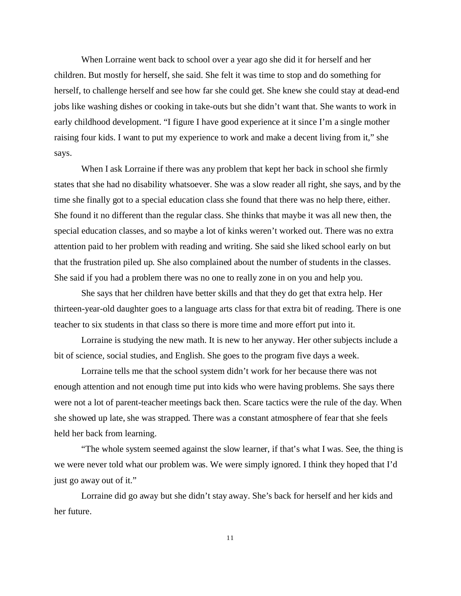When Lorraine went back to school over a year ago she did it for herself and her children. But mostly for herself, she said. She felt it was time to stop and do something for herself, to challenge herself and see how far she could get. She knew she could stay at dead-end jobs like washing dishes or cooking in take-outs but she didn't want that. She wants to work in early childhood development. "I figure I have good experience at it since I'm a single mother raising four kids. I want to put my experience to work and make a decent living from it," she says.

When I ask Lorraine if there was any problem that kept her back in school she firmly states that she had no disability whatsoever. She was a slow reader all right, she says, and by the time she finally got to a special education class she found that there was no help there, either. She found it no different than the regular class. She thinks that maybe it was all new then, the special education classes, and so maybe a lot of kinks weren't worked out. There was no extra attention paid to her problem with reading and writing. She said she liked school early on but that the frustration piled up. She also complained about the number of students in the classes. She said if you had a problem there was no one to really zone in on you and help you.

She says that her children have better skills and that they do get that extra help. Her thirteen-year-old daughter goes to a language arts class for that extra bit of reading. There is one teacher to six students in that class so there is more time and more effort put into it.

Lorraine is studying the new math. It is new to her anyway. Her other subjects include a bit of science, social studies, and English. She goes to the program five days a week.

Lorraine tells me that the school system didn't work for her because there was not enough attention and not enough time put into kids who were having problems. She says there were not a lot of parent-teacher meetings back then. Scare tactics were the rule of the day. When she showed up late, she was strapped. There was a constant atmosphere of fear that she feels held her back from learning.

"The whole system seemed against the slow learner, if that's what I was. See, the thing is we were never told what our problem was. We were simply ignored. I think they hoped that I'd just go away out of it."

Lorraine did go away but she didn't stay away. She's back for herself and her kids and her future.

11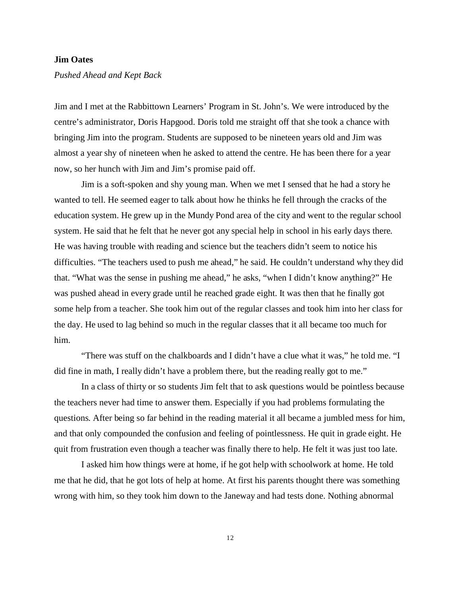## **Jim Oates**

*Pushed Ahead and Kept Back*

Jim and I met at the Rabbittown Learners' Program in St. John's. We were introduced by the centre's administrator, Doris Hapgood. Doris told me straight off that she took a chance with bringing Jim into the program. Students are supposed to be nineteen years old and Jim was almost a year shy of nineteen when he asked to attend the centre. He has been there for a year now, so her hunch with Jim and Jim's promise paid off.

Jim is a soft-spoken and shy young man. When we met I sensed that he had a story he wanted to tell. He seemed eager to talk about how he thinks he fell through the cracks of the education system. He grew up in the Mundy Pond area of the city and went to the regular school system. He said that he felt that he never got any special help in school in his early days there. He was having trouble with reading and science but the teachers didn't seem to notice his difficulties. "The teachers used to push me ahead," he said. He couldn't understand why they did that. "What was the sense in pushing me ahead," he asks, "when I didn't know anything?" He was pushed ahead in every grade until he reached grade eight. It was then that he finally got some help from a teacher. She took him out of the regular classes and took him into her class for the day. He used to lag behind so much in the regular classes that it all became too much for him.

"There was stuff on the chalkboards and I didn't have a clue what it was," he told me. "I did fine in math, I really didn't have a problem there, but the reading really got to me."

In a class of thirty or so students Jim felt that to ask questions would be pointless because the teachers never had time to answer them. Especially if you had problems formulating the questions. After being so far behind in the reading material it all became a jumbled mess for him, and that only compounded the confusion and feeling of pointlessness. He quit in grade eight. He quit from frustration even though a teacher was finally there to help. He felt it was just too late.

I asked him how things were at home, if he got help with schoolwork at home. He told me that he did, that he got lots of help at home. At first his parents thought there was something wrong with him, so they took him down to the Janeway and had tests done. Nothing abnormal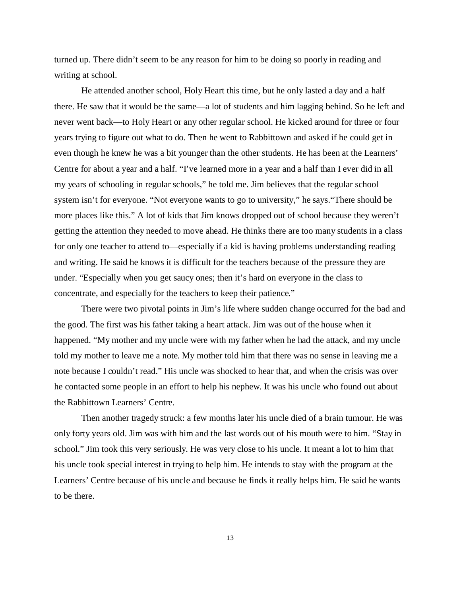turned up. There didn't seem to be any reason for him to be doing so poorly in reading and writing at school.

He attended another school, Holy Heart this time, but he only lasted a day and a half there. He saw that it would be the same—a lot of students and him lagging behind. So he left and never went back—to Holy Heart or any other regular school. He kicked around for three or four years trying to figure out what to do. Then he went to Rabbittown and asked if he could get in even though he knew he was a bit younger than the other students. He has been at the Learners' Centre for about a year and a half. "I've learned more in a year and a half than I ever did in all my years of schooling in regular schools," he told me. Jim believes that the regular school system isn't for everyone. "Not everyone wants to go to university," he says."There should be more places like this." A lot of kids that Jim knows dropped out of school because they weren't getting the attention they needed to move ahead. He thinks there are too many students in a class for only one teacher to attend to—especially if a kid is having problems understanding reading and writing. He said he knows it is difficult for the teachers because of the pressure they are under. "Especially when you get saucy ones; then it's hard on everyone in the class to concentrate, and especially for the teachers to keep their patience."

There were two pivotal points in Jim's life where sudden change occurred for the bad and the good. The first was his father taking a heart attack. Jim was out of the house when it happened. "My mother and my uncle were with my father when he had the attack, and my uncle told my mother to leave me a note. My mother told him that there was no sense in leaving me a note because I couldn't read." His uncle was shocked to hear that, and when the crisis was over he contacted some people in an effort to help his nephew. It was his uncle who found out about the Rabbittown Learners' Centre.

Then another tragedy struck: a few months later his uncle died of a brain tumour. He was only forty years old. Jim was with him and the last words out of his mouth were to him. "Stay in school." Jim took this very seriously. He was very close to his uncle. It meant a lot to him that his uncle took special interest in trying to help him. He intends to stay with the program at the Learners' Centre because of his uncle and because he finds it really helps him. He said he wants to be there.

13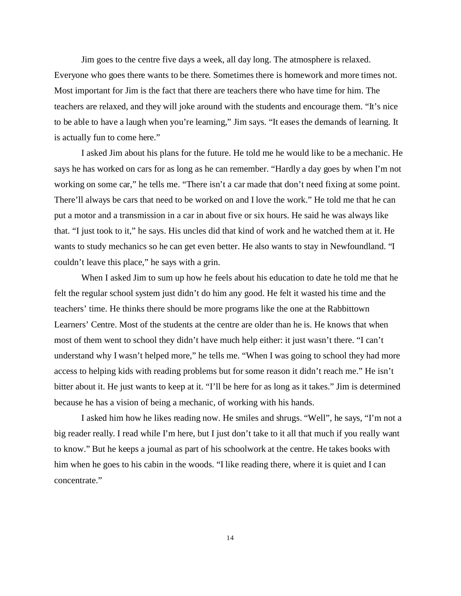Jim goes to the centre five days a week, all day long. The atmosphere is relaxed. Everyone who goes there wants to be there. Sometimes there is homework and more times not. Most important for Jim is the fact that there are teachers there who have time for him. The teachers are relaxed, and they will joke around with the students and encourage them. "It's nice to be able to have a laugh when you're learning," Jim says. "It eases the demands of learning. It is actually fun to come here."

I asked Jim about his plans for the future. He told me he would like to be a mechanic. He says he has worked on cars for as long as he can remember. "Hardly a day goes by when I'm not working on some car," he tells me. "There isn't a car made that don't need fixing at some point. There'll always be cars that need to be worked on and I love the work." He told me that he can put a motor and a transmission in a car in about five or six hours. He said he was always like that. "I just took to it," he says. His uncles did that kind of work and he watched them at it. He wants to study mechanics so he can get even better. He also wants to stay in Newfoundland. "I couldn't leave this place," he says with a grin.

When I asked Jim to sum up how he feels about his education to date he told me that he felt the regular school system just didn't do him any good. He felt it wasted his time and the teachers' time. He thinks there should be more programs like the one at the Rabbittown Learners' Centre. Most of the students at the centre are older than he is. He knows that when most of them went to school they didn't have much help either: it just wasn't there. "I can't understand why I wasn't helped more," he tells me. "When I was going to school they had more access to helping kids with reading problems but for some reason it didn't reach me." He isn't bitter about it. He just wants to keep at it. "I'll be here for as long as it takes." Jim is determined because he has a vision of being a mechanic, of working with his hands.

I asked him how he likes reading now. He smiles and shrugs. "Well", he says, "I'm not a big reader really. I read while I'm here, but I just don't take to it all that much if you really want to know." But he keeps a journal as part of his schoolwork at the centre. He takes books with him when he goes to his cabin in the woods. "I like reading there, where it is quiet and I can concentrate."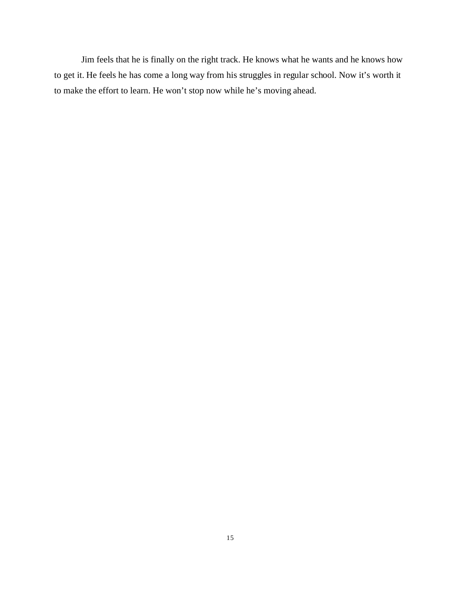Jim feels that he is finally on the right track. He knows what he wants and he knows how to get it. He feels he has come a long way from his struggles in regular school. Now it's worth it to make the effort to learn. He won't stop now while he's moving ahead.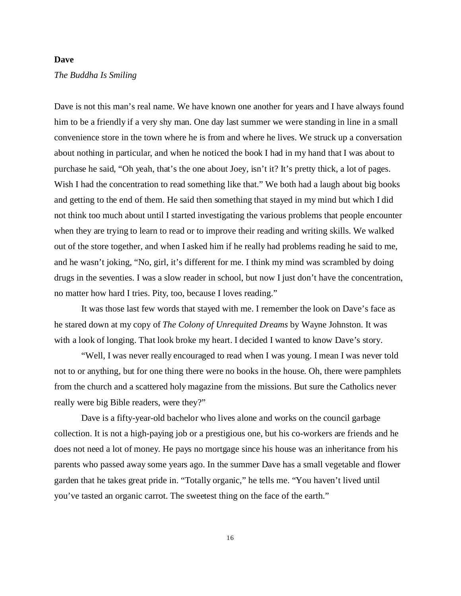#### **Dave**

#### *The Buddha Is Smiling*

Dave is not this man's real name. We have known one another for years and I have always found him to be a friendly if a very shy man. One day last summer we were standing in line in a small convenience store in the town where he is from and where he lives. We struck up a conversation about nothing in particular, and when he noticed the book I had in my hand that I was about to purchase he said, "Oh yeah, that's the one about Joey, isn't it? It's pretty thick, a lot of pages. Wish I had the concentration to read something like that." We both had a laugh about big books and getting to the end of them. He said then something that stayed in my mind but which I did not think too much about until I started investigating the various problems that people encounter when they are trying to learn to read or to improve their reading and writing skills. We walked out of the store together, and when I asked him if he really had problems reading he said to me, and he wasn't joking, "No, girl, it's different for me. I think my mind was scrambled by doing drugs in the seventies. I was a slow reader in school, but now I just don't have the concentration, no matter how hard I tries. Pity, too, because I loves reading."

It was those last few words that stayed with me. I remember the look on Dave's face as he stared down at my copy of *The Colony of Unrequited Dreams* by Wayne Johnston. It was with a look of longing. That look broke my heart. I decided I wanted to know Dave's story.

"Well, I was never really encouraged to read when I was young. I mean I was never told not to or anything, but for one thing there were no books in the house. Oh, there were pamphlets from the church and a scattered holy magazine from the missions. But sure the Catholics never really were big Bible readers, were they?"

Dave is a fifty-year-old bachelor who lives alone and works on the council garbage collection. It is not a high-paying job or a prestigious one, but his co-workers are friends and he does not need a lot of money. He pays no mortgage since his house was an inheritance from his parents who passed away some years ago. In the summer Dave has a small vegetable and flower garden that he takes great pride in. "Totally organic," he tells me. "You haven't lived until you've tasted an organic carrot. The sweetest thing on the face of the earth."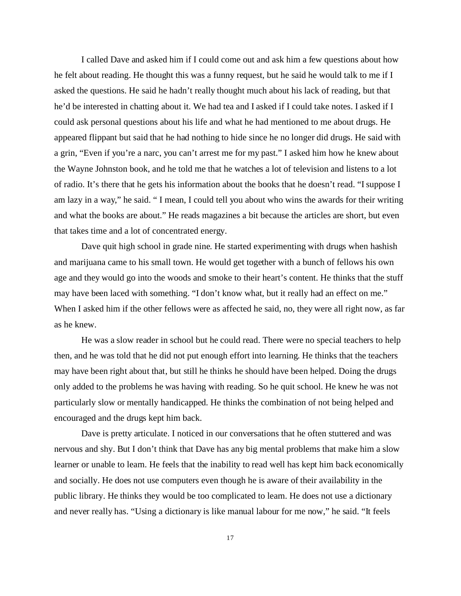I called Dave and asked him if I could come out and ask him a few questions about how he felt about reading. He thought this was a funny request, but he said he would talk to me if I asked the questions. He said he hadn't really thought much about his lack of reading, but that he'd be interested in chatting about it. We had tea and I asked if I could take notes. I asked if I could ask personal questions about his life and what he had mentioned to me about drugs. He appeared flippant but said that he had nothing to hide since he no longer did drugs. He said with a grin, "Even if you're a narc, you can't arrest me for my past." I asked him how he knew about the Wayne Johnston book, and he told me that he watches a lot of television and listens to a lot of radio. It's there that he gets his information about the books that he doesn't read. "I suppose I am lazy in a way," he said. " I mean, I could tell you about who wins the awards for their writing and what the books are about." He reads magazines a bit because the articles are short, but even that takes time and a lot of concentrated energy.

Dave quit high school in grade nine. He started experimenting with drugs when hashish and marijuana came to his small town. He would get together with a bunch of fellows his own age and they would go into the woods and smoke to their heart's content. He thinks that the stuff may have been laced with something. "I don't know what, but it really had an effect on me." When I asked him if the other fellows were as affected he said, no, they were all right now, as far as he knew.

He was a slow reader in school but he could read. There were no special teachers to help then, and he was told that he did not put enough effort into learning. He thinks that the teachers may have been right about that, but still he thinks he should have been helped. Doing the drugs only added to the problems he was having with reading. So he quit school. He knew he was not particularly slow or mentally handicapped. He thinks the combination of not being helped and encouraged and the drugs kept him back.

Dave is pretty articulate. I noticed in our conversations that he often stuttered and was nervous and shy. But I don't think that Dave has any big mental problems that make him a slow learner or unable to learn. He feels that the inability to read well has kept him back economically and socially. He does not use computers even though he is aware of their availability in the public library. He thinks they would be too complicated to learn. He does not use a dictionary and never really has. "Using a dictionary is like manual labour for me now," he said. "It feels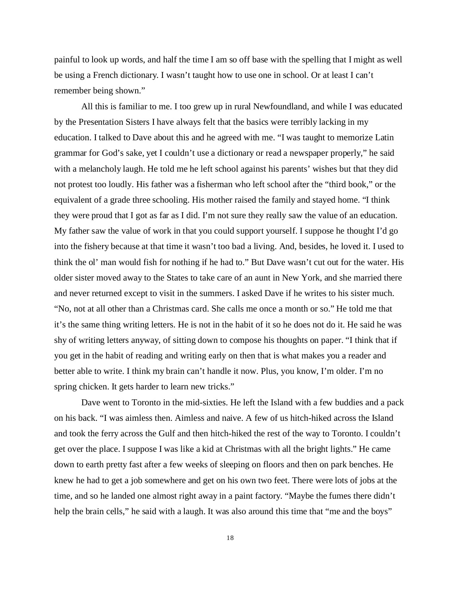painful to look up words, and half the time I am so off base with the spelling that I might as well be using a French dictionary. I wasn't taught how to use one in school. Or at least I can't remember being shown."

All this is familiar to me. I too grew up in rural Newfoundland, and while I was educated by the Presentation Sisters I have always felt that the basics were terribly lacking in my education. I talked to Dave about this and he agreed with me. "I was taught to memorize Latin grammar for God's sake, yet I couldn't use a dictionary or read a newspaper properly," he said with a melancholy laugh. He told me he left school against his parents' wishes but that they did not protest too loudly. His father was a fisherman who left school after the "third book," or the equivalent of a grade three schooling. His mother raised the family and stayed home. "I think they were proud that I got as far as I did. I'm not sure they really saw the value of an education. My father saw the value of work in that you could support yourself. I suppose he thought I'd go into the fishery because at that time it wasn't too bad a living. And, besides, he loved it. I used to think the ol' man would fish for nothing if he had to." But Dave wasn't cut out for the water. His older sister moved away to the States to take care of an aunt in New York, and she married there and never returned except to visit in the summers. I asked Dave if he writes to his sister much. "No, not at all other than a Christmas card. She calls me once a month or so." He told me that it's the same thing writing letters. He is not in the habit of it so he does not do it. He said he was shy of writing letters anyway, of sitting down to compose his thoughts on paper. "I think that if you get in the habit of reading and writing early on then that is what makes you a reader and better able to write. I think my brain can't handle it now. Plus, you know, I'm older. I'm no spring chicken. It gets harder to learn new tricks."

Dave went to Toronto in the mid-sixties. He left the Island with a few buddies and a pack on his back. "I was aimless then. Aimless and naive. A few of us hitch-hiked across the Island and took the ferry across the Gulf and then hitch-hiked the rest of the way to Toronto. I couldn't get over the place. I suppose I was like a kid at Christmas with all the bright lights." He came down to earth pretty fast after a few weeks of sleeping on floors and then on park benches. He knew he had to get a job somewhere and get on his own two feet. There were lots of jobs at the time, and so he landed one almost right away in a paint factory. "Maybe the fumes there didn't help the brain cells," he said with a laugh. It was also around this time that "me and the boys"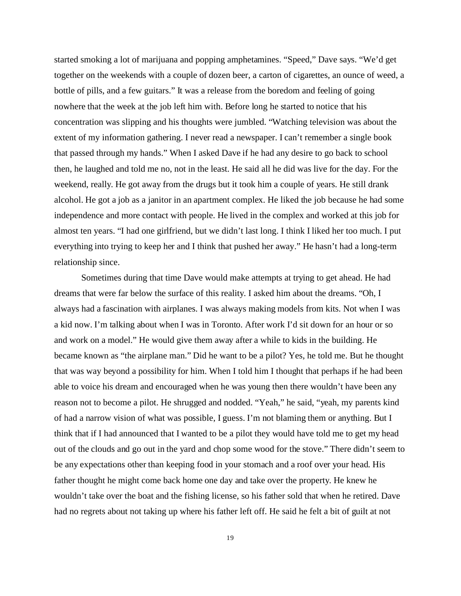started smoking a lot of marijuana and popping amphetamines. "Speed," Dave says. "We'd get together on the weekends with a couple of dozen beer, a carton of cigarettes, an ounce of weed, a bottle of pills, and a few guitars." It was a release from the boredom and feeling of going nowhere that the week at the job left him with. Before long he started to notice that his concentration was slipping and his thoughts were jumbled. "Watching television was about the extent of my information gathering. I never read a newspaper. I can't remember a single book that passed through my hands." When I asked Dave if he had any desire to go back to school then, he laughed and told me no, not in the least. He said all he did was live for the day. For the weekend, really. He got away from the drugs but it took him a couple of years. He still drank alcohol. He got a job as a janitor in an apartment complex. He liked the job because he had some independence and more contact with people. He lived in the complex and worked at this job for almost ten years. "I had one girlfriend, but we didn't last long. I think I liked her too much. I put everything into trying to keep her and I think that pushed her away." He hasn't had a long-term relationship since.

Sometimes during that time Dave would make attempts at trying to get ahead. He had dreams that were far below the surface of this reality. I asked him about the dreams. "Oh, I always had a fascination with airplanes. I was always making models from kits. Not when I was a kid now. I'm talking about when I was in Toronto. After work I'd sit down for an hour or so and work on a model." He would give them away after a while to kids in the building. He became known as "the airplane man." Did he want to be a pilot? Yes, he told me. But he thought that was way beyond a possibility for him. When I told him I thought that perhaps if he had been able to voice his dream and encouraged when he was young then there wouldn't have been any reason not to become a pilot. He shrugged and nodded. "Yeah," he said, "yeah, my parents kind of had a narrow vision of what was possible, I guess. I'm not blaming them or anything. But I think that if I had announced that I wanted to be a pilot they would have told me to get my head out of the clouds and go out in the yard and chop some wood for the stove." There didn't seem to be any expectations other than keeping food in your stomach and a roof over your head. His father thought he might come back home one day and take over the property. He knew he wouldn't take over the boat and the fishing license, so his father sold that when he retired. Dave had no regrets about not taking up where his father left off. He said he felt a bit of guilt at not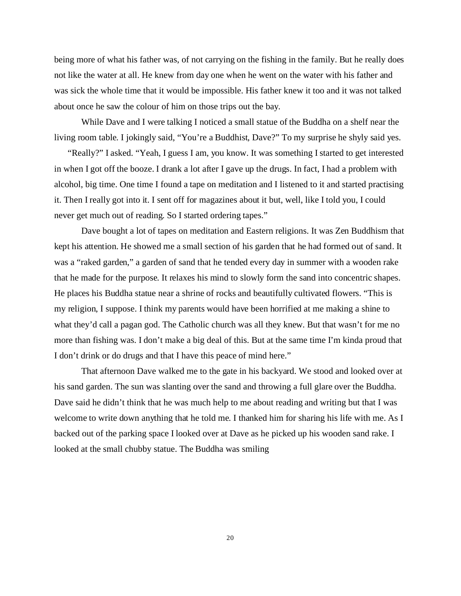being more of what his father was, of not carrying on the fishing in the family. But he really does not like the water at all. He knew from day one when he went on the water with his father and was sick the whole time that it would be impossible. His father knew it too and it was not talked about once he saw the colour of him on those trips out the bay.

While Dave and I were talking I noticed a small statue of the Buddha on a shelf near the living room table. I jokingly said, "You're a Buddhist, Dave?" To my surprise he shyly said yes.

"Really?" I asked. "Yeah, I guess I am, you know. It was something I started to get interested in when I got off the booze. I drank a lot after I gave up the drugs. In fact, I had a problem with alcohol, big time. One time I found a tape on meditation and I listened to it and started practising it. Then I really got into it. I sent off for magazines about it but, well, like I told you, I could never get much out of reading. So I started ordering tapes."

Dave bought a lot of tapes on meditation and Eastern religions. It was Zen Buddhism that kept his attention. He showed me a small section of his garden that he had formed out of sand. It was a "raked garden," a garden of sand that he tended every day in summer with a wooden rake that he made for the purpose. It relaxes his mind to slowly form the sand into concentric shapes. He places his Buddha statue near a shrine of rocks and beautifully cultivated flowers. "This is my religion, I suppose. I think my parents would have been horrified at me making a shine to what they'd call a pagan god. The Catholic church was all they knew. But that wasn't for me no more than fishing was. I don't make a big deal of this. But at the same time I'm kinda proud that I don't drink or do drugs and that I have this peace of mind here."

That afternoon Dave walked me to the gate in his backyard. We stood and looked over at his sand garden. The sun was slanting over the sand and throwing a full glare over the Buddha. Dave said he didn't think that he was much help to me about reading and writing but that I was welcome to write down anything that he told me. I thanked him for sharing his life with me. As I backed out of the parking space I looked over at Dave as he picked up his wooden sand rake. I looked at the small chubby statue. The Buddha was smiling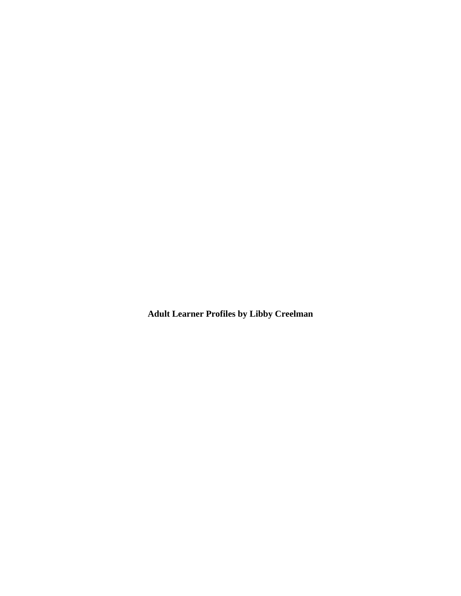**Adult Learner Profiles by Libby Creelman**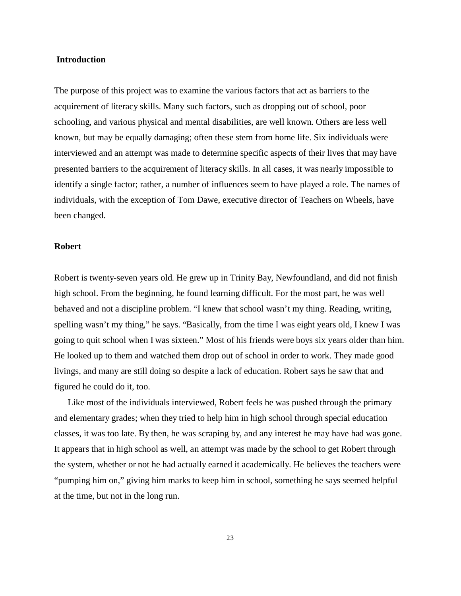## **Introduction**

The purpose of this project was to examine the various factors that act as barriers to the acquirement of literacy skills. Many such factors, such as dropping out of school, poor schooling, and various physical and mental disabilities, are well known. Others are less well known, but may be equally damaging; often these stem from home life. Six individuals were interviewed and an attempt was made to determine specific aspects of their lives that may have presented barriers to the acquirement of literacy skills. In all cases, it was nearly impossible to identify a single factor; rather, a number of influences seem to have played a role. The names of individuals, with the exception of Tom Dawe, executive director of Teachers on Wheels, have been changed.

## **Robert**

Robert is twenty-seven years old. He grew up in Trinity Bay, Newfoundland, and did not finish high school. From the beginning, he found learning difficult. For the most part, he was well behaved and not a discipline problem. "I knew that school wasn't my thing. Reading, writing, spelling wasn't my thing," he says. "Basically, from the time I was eight years old, I knew I was going to quit school when I was sixteen." Most of his friends were boys six years older than him. He looked up to them and watched them drop out of school in order to work. They made good livings, and many are still doing so despite a lack of education. Robert says he saw that and figured he could do it, too.

Like most of the individuals interviewed, Robert feels he was pushed through the primary and elementary grades; when they tried to help him in high school through special education classes, it was too late. By then, he was scraping by, and any interest he may have had was gone. It appears that in high school as well, an attempt was made by the school to get Robert through the system, whether or not he had actually earned it academically. He believes the teachers were "pumping him on," giving him marks to keep him in school, something he says seemed helpful at the time, but not in the long run.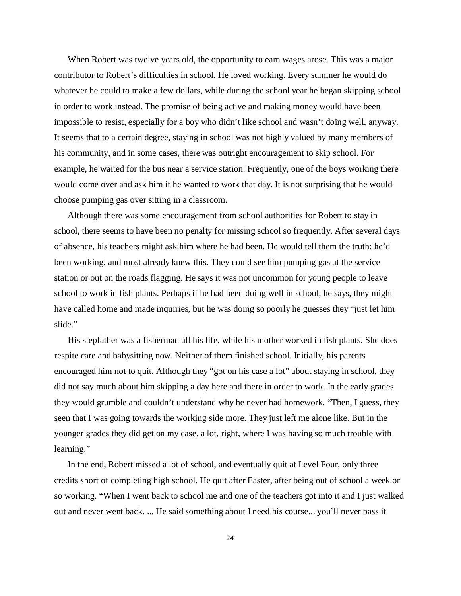When Robert was twelve years old, the opportunity to earn wages arose. This was a major contributor to Robert's difficulties in school. He loved working. Every summer he would do whatever he could to make a few dollars, while during the school year he began skipping school in order to work instead. The promise of being active and making money would have been impossible to resist, especially for a boy who didn't like school and wasn't doing well, anyway. It seems that to a certain degree, staying in school was not highly valued by many members of his community, and in some cases, there was outright encouragement to skip school. For example, he waited for the bus near a service station. Frequently, one of the boys working there would come over and ask him if he wanted to work that day. It is not surprising that he would choose pumping gas over sitting in a classroom.

Although there was some encouragement from school authorities for Robert to stay in school, there seems to have been no penalty for missing school so frequently. After several days of absence, his teachers might ask him where he had been. He would tell them the truth: he'd been working, and most already knew this. They could see him pumping gas at the service station or out on the roads flagging. He says it was not uncommon for young people to leave school to work in fish plants. Perhaps if he had been doing well in school, he says, they might have called home and made inquiries, but he was doing so poorly he guesses they "just let him slide."

His stepfather was a fisherman all his life, while his mother worked in fish plants. She does respite care and babysitting now. Neither of them finished school. Initially, his parents encouraged him not to quit. Although they "got on his case a lot" about staying in school, they did not say much about him skipping a day here and there in order to work. In the early grades they would grumble and couldn't understand why he never had homework. "Then, I guess, they seen that I was going towards the working side more. They just left me alone like. But in the younger grades they did get on my case, a lot, right, where I was having so much trouble with learning."

In the end, Robert missed a lot of school, and eventually quit at Level Four, only three credits short of completing high school. He quit after Easter, after being out of school a week or so working. "When I went back to school me and one of the teachers got into it and I just walked out and never went back. ... He said something about I need his course... you'll never pass it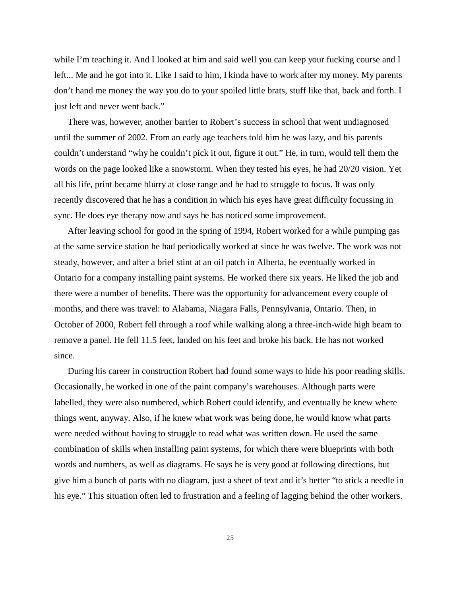while I'm teaching it. And I looked at him and said well you can keep your fucking course and I left... Me and he got into it. Like I said to him, I kinda have to work after my money. My parents don't hand me money the way you do to your spoiled little brats, stuff like that, back and forth. I just left and never went back."

There was, however, another barrier to Robert's success in school that went undiagnosed until the summer of 2002. From an early age teachers told him he was lazy, and his parents couldn't understand "why he couldn't pick it out, figure it out." He, in turn, would tell them the words on the page looked like a snowstorm. When they tested his eyes, he had 20/20 vision. Yet all his life, print became blurry at close range and he had to struggle to focus. It was only recently discovered that he has a condition in which his eyes have great difficulty focussing in sync. He does eye therapy now and says he has noticed some improvement.

After leaving school for good in the spring of 1994, Robert worked for a while pumping gas at the same service station he had periodically worked at since he was twelve. The work was not steady, however, and after a brief stint at an oil patch in Alberta, he eventually worked in Ontario for a company installing paint systems. He worked there six years. He liked the job and there were a number of benefits. There was the opportunity for advancement every couple of months, and there was travel: to Alabama, Niagara Falls, Pennsylvania, Ontario. Then, in October of 2000, Robert fell through a roof while walking along a three-inch-wide high beam to remove a panel. He fell 11.5 feet, landed on his feet and broke his back. He has not worked since.

During his career in construction Robert had found some ways to hide his poor reading skills. Occasionally, he worked in one of the paint company's warehouses. Although parts were labelled, they were also numbered, which Robert could identify, and eventually he knew where things went, anyway. Also, if he knew what work was being done, he would know what parts were needed without having to struggle to read what was written down. He used the same combination of skills when installing paint systems, for which there were blueprints with both words and numbers, as well as diagrams. He says he is very good at following directions, but give him a bunch of parts with no diagram, just a sheet of text and it's better "to stick a needle in his eye." This situation often led to frustration and a feeling of lagging behind the other workers.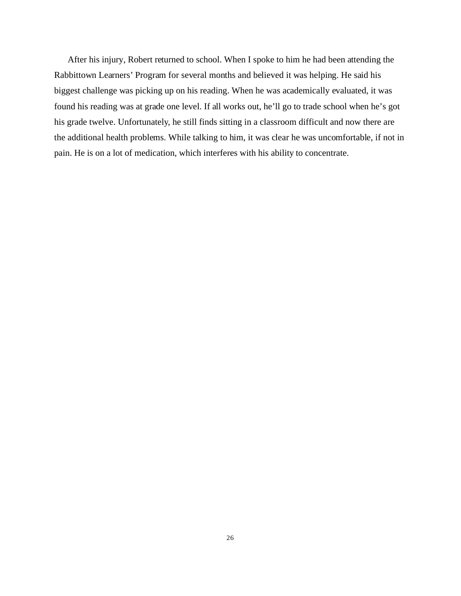After his injury, Robert returned to school. When I spoke to him he had been attending the Rabbittown Learners' Program for several months and believed it was helping. He said his biggest challenge was picking up on his reading. When he was academically evaluated, it was found his reading was at grade one level. If all works out, he'll go to trade school when he's got his grade twelve. Unfortunately, he still finds sitting in a classroom difficult and now there are the additional health problems. While talking to him, it was clear he was uncomfortable, if not in pain. He is on a lot of medication, which interferes with his ability to concentrate.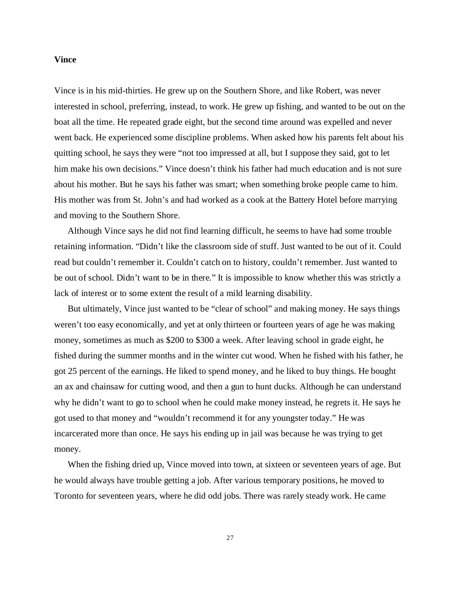## **Vince**

Vince is in his mid-thirties. He grew up on the Southern Shore, and like Robert, was never interested in school, preferring, instead, to work. He grew up fishing, and wanted to be out on the boat all the time. He repeated grade eight, but the second time around was expelled and never went back. He experienced some discipline problems. When asked how his parents felt about his quitting school, he says they were "not too impressed at all, but I suppose they said, got to let him make his own decisions." Vince doesn't think his father had much education and is not sure about his mother. But he says his father was smart; when something broke people came to him. His mother was from St. John's and had worked as a cook at the Battery Hotel before marrying and moving to the Southern Shore.

Although Vince says he did not find learning difficult, he seems to have had some trouble retaining information. "Didn't like the classroom side of stuff. Just wanted to be out of it. Could read but couldn't remember it. Couldn't catch on to history, couldn't remember. Just wanted to be out of school. Didn't want to be in there." It is impossible to know whether this was strictly a lack of interest or to some extent the result of a mild learning disability.

But ultimately, Vince just wanted to be "clear of school" and making money. He says things weren't too easy economically, and yet at only thirteen or fourteen years of age he was making money, sometimes as much as \$200 to \$300 a week. After leaving school in grade eight, he fished during the summer months and in the winter cut wood. When he fished with his father, he got 25 percent of the earnings. He liked to spend money, and he liked to buy things. He bought an ax and chainsaw for cutting wood, and then a gun to hunt ducks. Although he can understand why he didn't want to go to school when he could make money instead, he regrets it. He says he got used to that money and "wouldn't recommend it for any youngster today." He was incarcerated more than once. He says his ending up in jail was because he was trying to get money.

When the fishing dried up, Vince moved into town, at sixteen or seventeen years of age. But he would always have trouble getting a job. After various temporary positions, he moved to Toronto for seventeen years, where he did odd jobs. There was rarely steady work. He came

27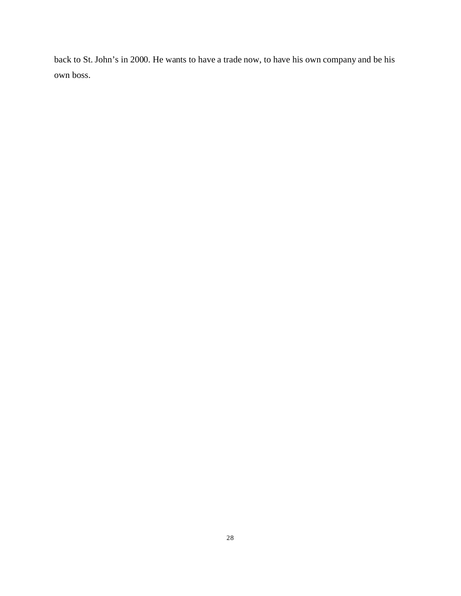back to St. John's in 2000. He wants to have a trade now, to have his own company and be his own boss.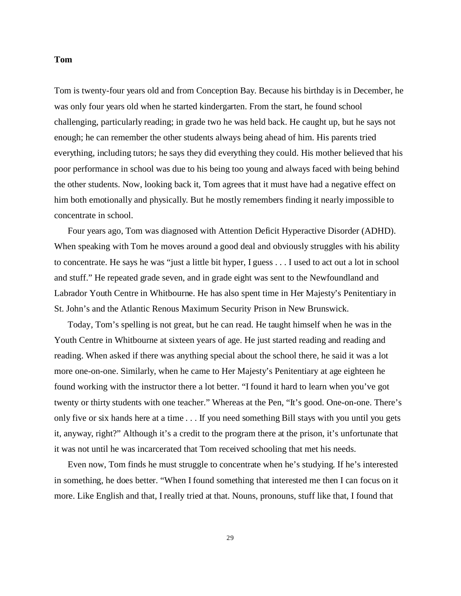## **Tom**

Tom is twenty-four years old and from Conception Bay. Because his birthday is in December, he was only four years old when he started kindergarten. From the start, he found school challenging, particularly reading; in grade two he was held back. He caught up, but he says not enough; he can remember the other students always being ahead of him. His parents tried everything, including tutors; he says they did everything they could. His mother believed that his poor performance in school was due to his being too young and always faced with being behind the other students. Now, looking back it, Tom agrees that it must have had a negative effect on him both emotionally and physically. But he mostly remembers finding it nearly impossible to concentrate in school.

Four years ago, Tom was diagnosed with Attention Deficit Hyperactive Disorder (ADHD). When speaking with Tom he moves around a good deal and obviously struggles with his ability to concentrate. He says he was "just a little bit hyper, I guess . . . I used to act out a lot in school and stuff." He repeated grade seven, and in grade eight was sent to the Newfoundland and Labrador Youth Centre in Whitbourne. He has also spent time in Her Majesty's Penitentiary in St. John's and the Atlantic Renous Maximum Security Prison in New Brunswick.

Today, Tom's spelling is not great, but he can read. He taught himself when he was in the Youth Centre in Whitbourne at sixteen years of age. He just started reading and reading and reading. When asked if there was anything special about the school there, he said it was a lot more one-on-one. Similarly, when he came to Her Majesty's Penitentiary at age eighteen he found working with the instructor there a lot better. "I found it hard to learn when you've got twenty or thirty students with one teacher." Whereas at the Pen, "It's good. One-on-one. There's only five or six hands here at a time . . . If you need something Bill stays with you until you gets it, anyway, right?" Although it's a credit to the program there at the prison, it's unfortunate that it was not until he was incarcerated that Tom received schooling that met his needs.

Even now, Tom finds he must struggle to concentrate when he's studying. If he's interested in something, he does better. "When I found something that interested me then I can focus on it more. Like English and that, I really tried at that. Nouns, pronouns, stuff like that, I found that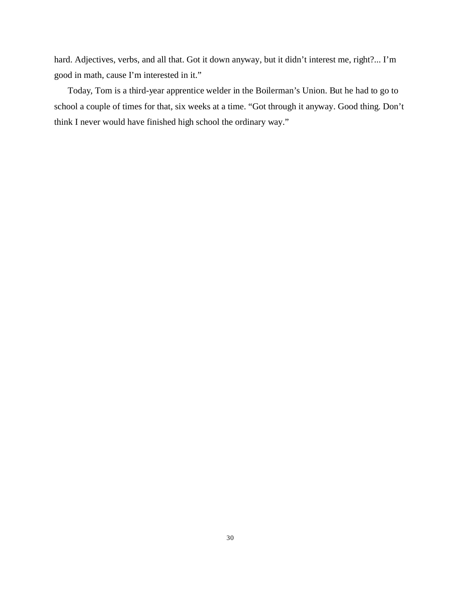hard. Adjectives, verbs, and all that. Got it down anyway, but it didn't interest me, right?... I'm good in math, cause I'm interested in it."

Today, Tom is a third-year apprentice welder in the Boilerman's Union. But he had to go to school a couple of times for that, six weeks at a time. "Got through it anyway. Good thing. Don't think I never would have finished high school the ordinary way."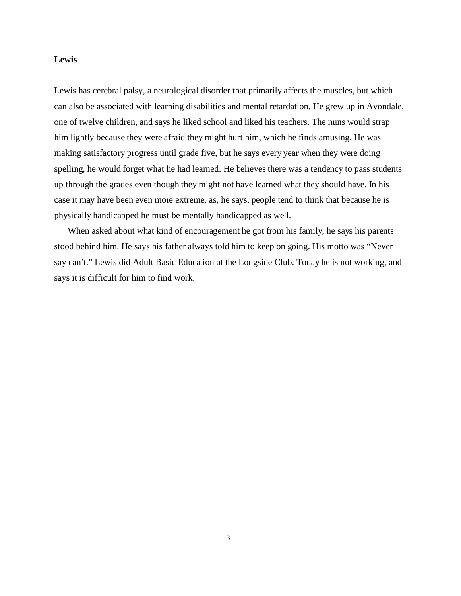## **Lewis**

Lewis has cerebral palsy, a neurological disorder that primarily affects the muscles, but which can also be associated with learning disabilities and mental retardation. He grew up in Avondale, one of twelve children, and says he liked school and liked his teachers. The nuns would strap him lightly because they were afraid they might hurt him, which he finds amusing. He was making satisfactory progress until grade five, but he says every year when they were doing spelling, he would forget what he had learned. He believes there was a tendency to pass students up through the grades even though they might not have learned what they should have. In his case it may have been even more extreme, as, he says, people tend to think that because he is physically handicapped he must be mentally handicapped as well.

When asked about what kind of encouragement he got from his family, he says his parents stood behind him. He says his father always told him to keep on going. His motto was "Never say can't." Lewis did Adult Basic Education at the Longside Club. Today he is not working, and says it is difficult for him to find work.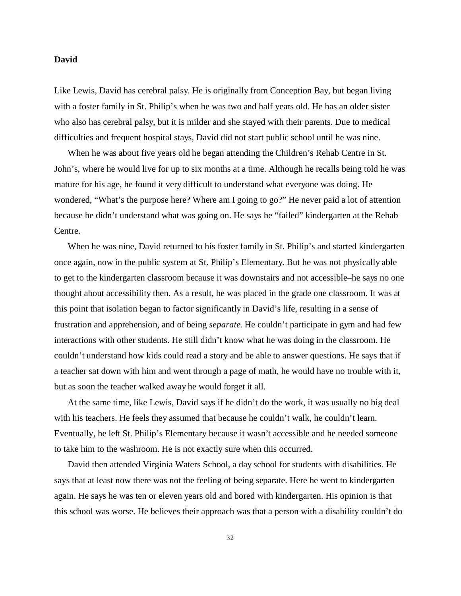### **David**

Like Lewis, David has cerebral palsy. He is originally from Conception Bay, but began living with a foster family in St. Philip's when he was two and half years old. He has an older sister who also has cerebral palsy, but it is milder and she stayed with their parents. Due to medical difficulties and frequent hospital stays, David did not start public school until he was nine.

When he was about five years old he began attending the Children's Rehab Centre in St. John's, where he would live for up to six months at a time. Although he recalls being told he was mature for his age, he found it very difficult to understand what everyone was doing. He wondered, "What's the purpose here? Where am I going to go?" He never paid a lot of attention because he didn't understand what was going on. He says he "failed" kindergarten at the Rehab Centre.

When he was nine, David returned to his foster family in St. Philip's and started kindergarten once again, now in the public system at St. Philip's Elementary. But he was not physically able to get to the kindergarten classroom because it was downstairs and not accessible–he says no one thought about accessibility then. As a result, he was placed in the grade one classroom. It was at this point that isolation began to factor significantly in David's life, resulting in a sense of frustration and apprehension, and of being *separate*. He couldn't participate in gym and had few interactions with other students. He still didn't know what he was doing in the classroom. He couldn't understand how kids could read a story and be able to answer questions. He says that if a teacher sat down with him and went through a page of math, he would have no trouble with it, but as soon the teacher walked away he would forget it all.

At the same time, like Lewis, David says if he didn't do the work, it was usually no big deal with his teachers. He feels they assumed that because he couldn't walk, he couldn't learn. Eventually, he left St. Philip's Elementary because it wasn't accessible and he needed someone to take him to the washroom. He is not exactly sure when this occurred.

David then attended Virginia Waters School, a day school for students with disabilities. He says that at least now there was not the feeling of being separate. Here he went to kindergarten again. He says he was ten or eleven years old and bored with kindergarten. His opinion is that this school was worse. He believes their approach was that a person with a disability couldn't do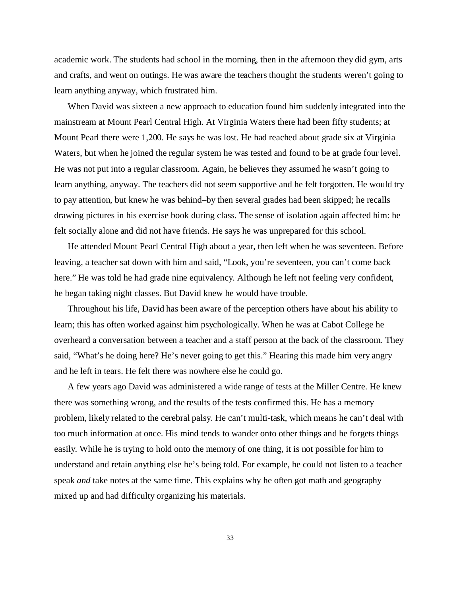academic work. The students had school in the morning, then in the afternoon they did gym, arts and crafts, and went on outings. He was aware the teachers thought the students weren't going to learn anything anyway, which frustrated him.

When David was sixteen a new approach to education found him suddenly integrated into the mainstream at Mount Pearl Central High. At Virginia Waters there had been fifty students; at Mount Pearl there were 1,200. He says he was lost. He had reached about grade six at Virginia Waters, but when he joined the regular system he was tested and found to be at grade four level. He was not put into a regular classroom. Again, he believes they assumed he wasn't going to learn anything, anyway. The teachers did not seem supportive and he felt forgotten. He would try to pay attention, but knew he was behind–by then several grades had been skipped; he recalls drawing pictures in his exercise book during class. The sense of isolation again affected him: he felt socially alone and did not have friends. He says he was unprepared for this school.

He attended Mount Pearl Central High about a year, then left when he was seventeen. Before leaving, a teacher sat down with him and said, "Look, you're seventeen, you can't come back here." He was told he had grade nine equivalency. Although he left not feeling very confident, he began taking night classes. But David knew he would have trouble.

Throughout his life, David has been aware of the perception others have about his ability to learn; this has often worked against him psychologically. When he was at Cabot College he overheard a conversation between a teacher and a staff person at the back of the classroom. They said, "What's he doing here? He's never going to get this." Hearing this made him very angry and he left in tears. He felt there was nowhere else he could go.

A few years ago David was administered a wide range of tests at the Miller Centre. He knew there was something wrong, and the results of the tests confirmed this. He has a memory problem, likely related to the cerebral palsy. He can't multi-task, which means he can't deal with too much information at once. His mind tends to wander onto other things and he forgets things easily. While he is trying to hold onto the memory of one thing, it is not possible for him to understand and retain anything else he's being told. For example, he could not listen to a teacher speak *and* take notes at the same time. This explains why he often got math and geography mixed up and had difficulty organizing his materials.

33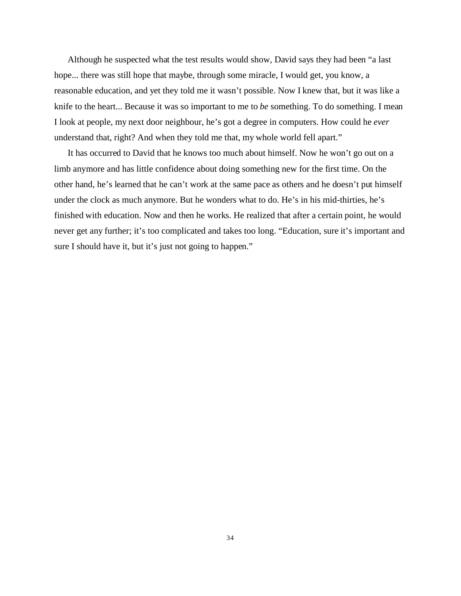Although he suspected what the test results would show, David says they had been "a last hope... there was still hope that maybe, through some miracle, I would get, you know, a reasonable education, and yet they told me it wasn't possible. Now I knew that, but it was like a knife to the heart... Because it was so important to me to *be* something. To do something. I mean I look at people, my next door neighbour, he's got a degree in computers. How could he *ever* understand that, right? And when they told me that, my whole world fell apart."

It has occurred to David that he knows too much about himself. Now he won't go out on a limb anymore and has little confidence about doing something new for the first time. On the other hand, he's learned that he can't work at the same pace as others and he doesn't put himself under the clock as much anymore. But he wonders what to do. He's in his mid-thirties, he's finished with education. Now and then he works. He realized that after a certain point, he would never get any further; it's too complicated and takes too long. "Education, sure it's important and sure I should have it, but it's just not going to happen."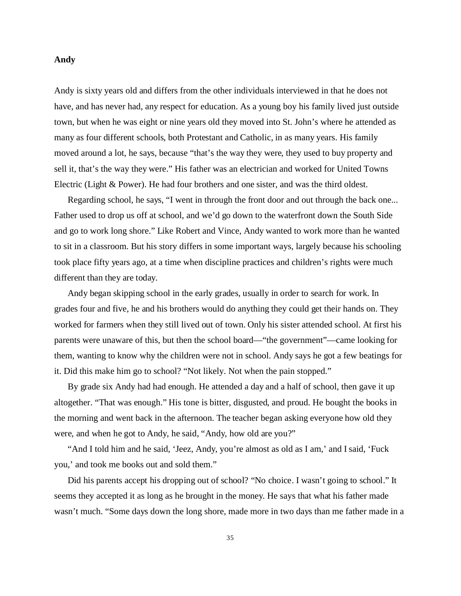#### **Andy**

Andy is sixty years old and differs from the other individuals interviewed in that he does not have, and has never had, any respect for education. As a young boy his family lived just outside town, but when he was eight or nine years old they moved into St. John's where he attended as many as four different schools, both Protestant and Catholic, in as many years. His family moved around a lot, he says, because "that's the way they were, they used to buy property and sell it, that's the way they were." His father was an electrician and worked for United Towns Electric (Light & Power). He had four brothers and one sister, and was the third oldest.

Regarding school, he says, "I went in through the front door and out through the back one... Father used to drop us off at school, and we'd go down to the waterfront down the South Side and go to work long shore." Like Robert and Vince, Andy wanted to work more than he wanted to sit in a classroom. But his story differs in some important ways, largely because his schooling took place fifty years ago, at a time when discipline practices and children's rights were much different than they are today.

Andy began skipping school in the early grades, usually in order to search for work. In grades four and five, he and his brothers would do anything they could get their hands on. They worked for farmers when they still lived out of town. Only his sister attended school. At first his parents were unaware of this, but then the school board—"the government"—came looking for them, wanting to know why the children were not in school. Andy says he got a few beatings for it. Did this make him go to school? "Not likely. Not when the pain stopped."

By grade six Andy had had enough. He attended a day and a half of school, then gave it up altogether. "That was enough." His tone is bitter, disgusted, and proud. He bought the books in the morning and went back in the afternoon. The teacher began asking everyone how old they were, and when he got to Andy, he said, "Andy, how old are you?"

"And I told him and he said, 'Jeez, Andy, you're almost as old as I am,' and I said, 'Fuck you,' and took me books out and sold them."

Did his parents accept his dropping out of school? "No choice. I wasn't going to school." It seems they accepted it as long as he brought in the money. He says that what his father made wasn't much. "Some days down the long shore, made more in two days than me father made in a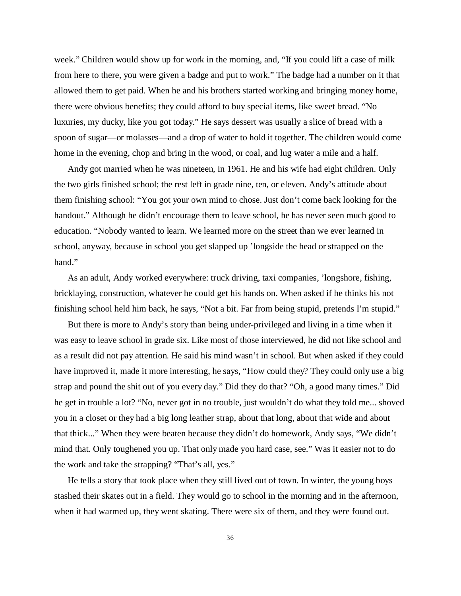week." Children would show up for work in the morning, and, "If you could lift a case of milk from here to there, you were given a badge and put to work." The badge had a number on it that allowed them to get paid. When he and his brothers started working and bringing money home, there were obvious benefits; they could afford to buy special items, like sweet bread. "No luxuries, my ducky, like you got today." He says dessert was usually a slice of bread with a spoon of sugar—or molasses—and a drop of water to hold it together. The children would come home in the evening, chop and bring in the wood, or coal, and lug water a mile and a half.

Andy got married when he was nineteen, in 1961. He and his wife had eight children. Only the two girls finished school; the rest left in grade nine, ten, or eleven. Andy's attitude about them finishing school: "You got your own mind to chose. Just don't come back looking for the handout." Although he didn't encourage them to leave school, he has never seen much good to education. "Nobody wanted to learn. We learned more on the street than we ever learned in school, anyway, because in school you get slapped up 'longside the head or strapped on the hand."

As an adult, Andy worked everywhere: truck driving, taxi companies, 'longshore, fishing, bricklaying, construction, whatever he could get his hands on. When asked if he thinks his not finishing school held him back, he says, "Not a bit. Far from being stupid, pretends I'm stupid."

But there is more to Andy's story than being under-privileged and living in a time when it was easy to leave school in grade six. Like most of those interviewed, he did not like school and as a result did not pay attention. He said his mind wasn't in school. But when asked if they could have improved it, made it more interesting, he says, "How could they? They could only use a big strap and pound the shit out of you every day." Did they do that? "Oh, a good many times." Did he get in trouble a lot? "No, never got in no trouble, just wouldn't do what they told me... shoved you in a closet or they had a big long leather strap, about that long, about that wide and about that thick..." When they were beaten because they didn't do homework, Andy says, "We didn't mind that. Only toughened you up. That only made you hard case, see." Was it easier not to do the work and take the strapping? "That's all, yes."

He tells a story that took place when they still lived out of town. In winter, the young boys stashed their skates out in a field. They would go to school in the morning and in the afternoon, when it had warmed up, they went skating. There were six of them, and they were found out.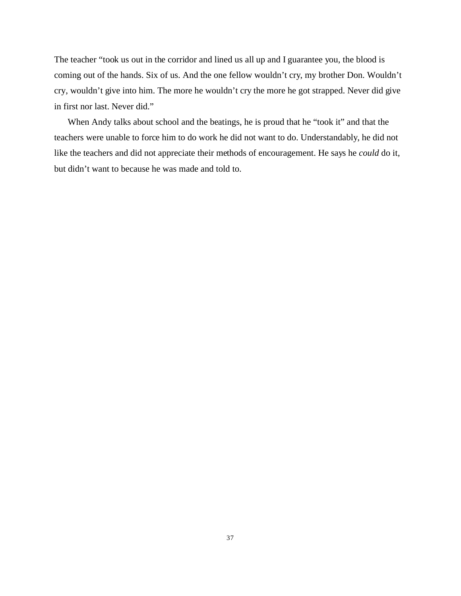The teacher "took us out in the corridor and lined us all up and I guarantee you, the blood is coming out of the hands. Six of us. And the one fellow wouldn't cry, my brother Don. Wouldn't cry, wouldn't give into him. The more he wouldn't cry the more he got strapped. Never did give in first nor last. Never did."

When Andy talks about school and the beatings, he is proud that he "took it" and that the teachers were unable to force him to do work he did not want to do. Understandably, he did not like the teachers and did not appreciate their methods of encouragement. He says he *could* do it, but didn't want to because he was made and told to.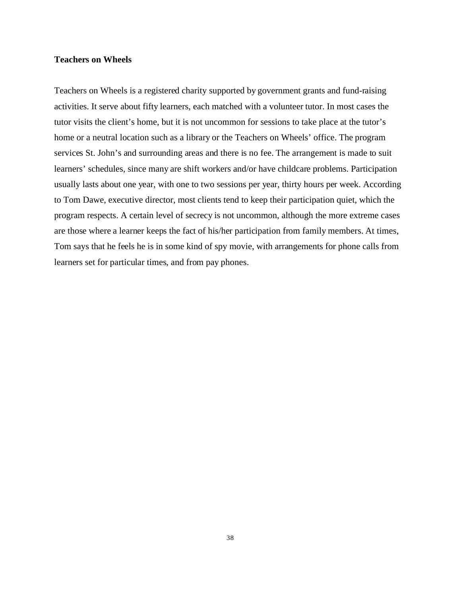### **Teachers on Wheels**

Teachers on Wheels is a registered charity supported by government grants and fund-raising activities. It serve about fifty learners, each matched with a volunteer tutor. In most cases the tutor visits the client's home, but it is not uncommon for sessions to take place at the tutor's home or a neutral location such as a library or the Teachers on Wheels' office. The program services St. John's and surrounding areas and there is no fee. The arrangement is made to suit learners' schedules, since many are shift workers and/or have childcare problems. Participation usually lasts about one year, with one to two sessions per year, thirty hours per week. According to Tom Dawe, executive director, most clients tend to keep their participation quiet, which the program respects. A certain level of secrecy is not uncommon, although the more extreme cases are those where a learner keeps the fact of his/her participation from family members. At times, Tom says that he feels he is in some kind of spy movie, with arrangements for phone calls from learners set for particular times, and from pay phones.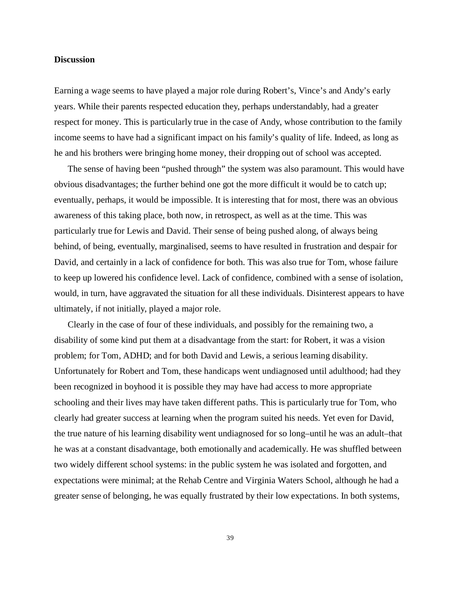### **Discussion**

Earning a wage seems to have played a major role during Robert's, Vince's and Andy's early years. While their parents respected education they, perhaps understandably, had a greater respect for money. This is particularly true in the case of Andy, whose contribution to the family income seems to have had a significant impact on his family's quality of life. Indeed, as long as he and his brothers were bringing home money, their dropping out of school was accepted.

The sense of having been "pushed through" the system was also paramount. This would have obvious disadvantages; the further behind one got the more difficult it would be to catch up; eventually, perhaps, it would be impossible. It is interesting that for most, there was an obvious awareness of this taking place, both now, in retrospect, as well as at the time. This was particularly true for Lewis and David. Their sense of being pushed along, of always being behind, of being, eventually, marginalised, seems to have resulted in frustration and despair for David, and certainly in a lack of confidence for both. This was also true for Tom, whose failure to keep up lowered his confidence level. Lack of confidence, combined with a sense of isolation, would, in turn, have aggravated the situation for all these individuals. Disinterest appears to have ultimately, if not initially, played a major role.

Clearly in the case of four of these individuals, and possibly for the remaining two, a disability of some kind put them at a disadvantage from the start: for Robert, it was a vision problem; for Tom, ADHD; and for both David and Lewis, a serious learning disability. Unfortunately for Robert and Tom, these handicaps went undiagnosed until adulthood; had they been recognized in boyhood it is possible they may have had access to more appropriate schooling and their lives may have taken different paths. This is particularly true for Tom, who clearly had greater success at learning when the program suited his needs. Yet even for David, the true nature of his learning disability went undiagnosed for so long–until he was an adult–that he was at a constant disadvantage, both emotionally and academically. He was shuffled between two widely different school systems: in the public system he was isolated and forgotten, and expectations were minimal; at the Rehab Centre and Virginia Waters School, although he had a greater sense of belonging, he was equally frustrated by their low expectations. In both systems,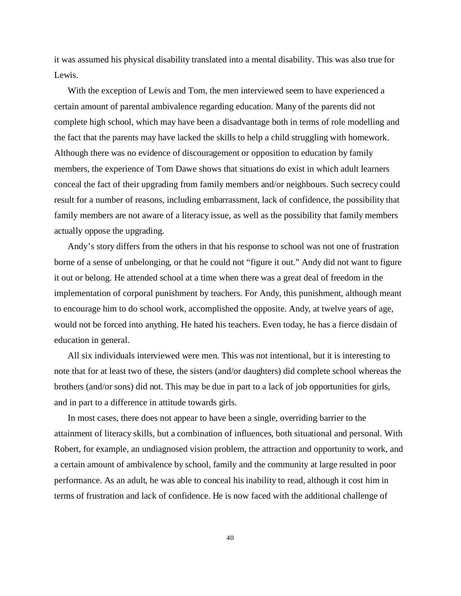it was assumed his physical disability translated into a mental disability. This was also true for Lewis.

With the exception of Lewis and Tom, the men interviewed seem to have experienced a certain amount of parental ambivalence regarding education. Many of the parents did not complete high school, which may have been a disadvantage both in terms of role modelling and the fact that the parents may have lacked the skills to help a child struggling with homework. Although there was no evidence of discouragement or opposition to education by family members, the experience of Tom Dawe shows that situations do exist in which adult learners conceal the fact of their upgrading from family members and/or neighbours. Such secrecy could result for a number of reasons, including embarrassment, lack of confidence, the possibility that family members are not aware of a literacy issue, as well as the possibility that family members actually oppose the upgrading.

Andy's story differs from the others in that his response to school was not one of frustration borne of a sense of unbelonging, or that he could not "figure it out." Andy did not want to figure it out or belong. He attended school at a time when there was a great deal of freedom in the implementation of corporal punishment by teachers. For Andy, this punishment, although meant to encourage him to do school work, accomplished the opposite. Andy, at twelve years of age, would not be forced into anything. He hated his teachers. Even today, he has a fierce disdain of education in general.

All six individuals interviewed were men. This was not intentional, but it is interesting to note that for at least two of these, the sisters (and/or daughters) did complete school whereas the brothers (and/or sons) did not. This may be due in part to a lack of job opportunities for girls, and in part to a difference in attitude towards girls.

In most cases, there does not appear to have been a single, overriding barrier to the attainment of literacy skills, but a combination of influences, both situational and personal. With Robert, for example, an undiagnosed vision problem, the attraction and opportunity to work, and a certain amount of ambivalence by school, family and the community at large resulted in poor performance. As an adult, he was able to conceal his inability to read, although it cost him in terms of frustration and lack of confidence. He is now faced with the additional challenge of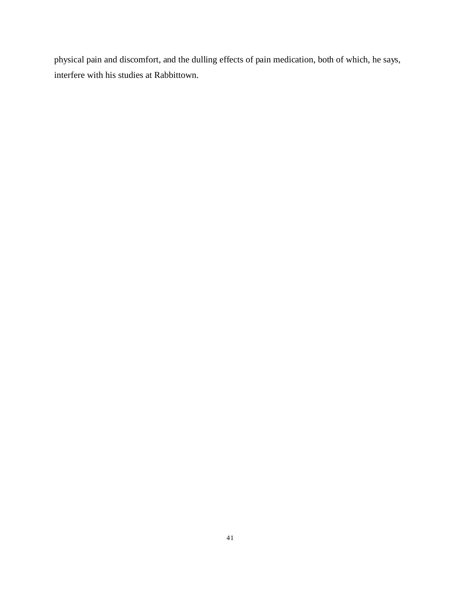physical pain and discomfort, and the dulling effects of pain medication, both of which, he says, interfere with his studies at Rabbittown.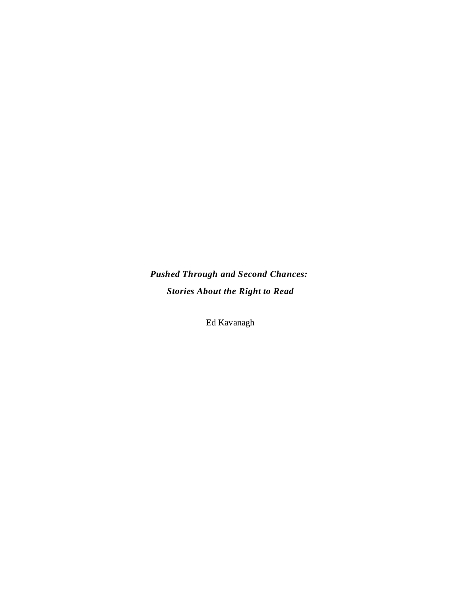*Pushed Through and Second Chances: Stories About the Right to Read*

Ed Kavanagh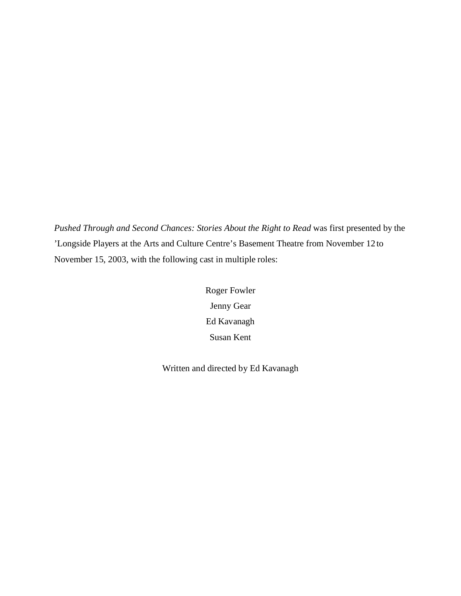*Pushed Through and Second Chances: Stories About the Right to Read* was first presented by the 'Longside Players at the Arts and Culture Centre's Basement Theatre from November 12 to November 15, 2003, with the following cast in multiple roles:

> Roger Fowler Jenny Gear Ed Kavanagh Susan Kent

Written and directed by Ed Kavanagh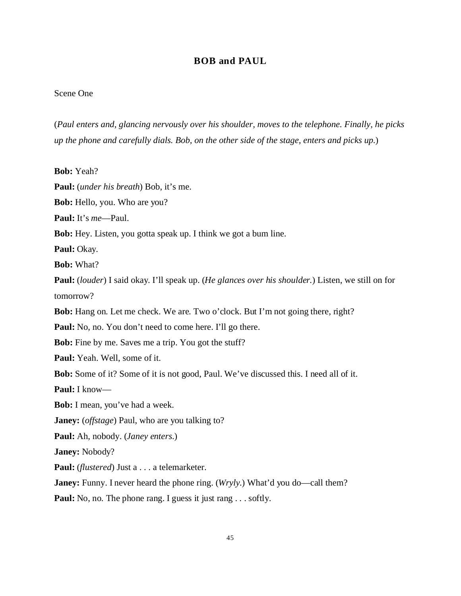# **BOB and PAUL**

### Scene One

(*Paul enters and, glancing nervously over his shoulder, moves to the telephone. Finally, he picks up the phone and carefully dials. Bob, on the other side of the stage, enters and picks up.*)

**Bob:** Yeah? **Paul:** (*under his breath*) Bob, it's me. **Bob:** Hello, you. Who are you? **Paul:** It's *me*—Paul. **Bob:** Hey. Listen, you gotta speak up. I think we got a bum line. **Paul:** Okay. **Bob:** What? **Paul:** (*louder*) I said okay. I'll speak up. (*He glances over his shoulder.*) Listen, we still on for tomorrow? **Bob:** Hang on. Let me check. We are. Two o'clock. But I'm not going there, right? Paul: No, no. You don't need to come here. I'll go there. **Bob:** Fine by me. Saves me a trip. You got the stuff? **Paul:** Yeah. Well, some of it. **Bob:** Some of it? Some of it is not good, Paul. We've discussed this. I need all of it. **Paul:** I know— **Bob:** I mean, you've had a week. **Janey:** (*offstage*) Paul, who are you talking to? **Paul:** Ah, nobody. (*Janey enters.*) **Janey:** Nobody? **Paul:** (*flustered*) Just a . . . a telemarketer. **Janey:** Funny. I never heard the phone ring. (*Wryly.*) What'd you do—call them?

**Paul:** No, no. The phone rang. I guess it just rang . . . softly.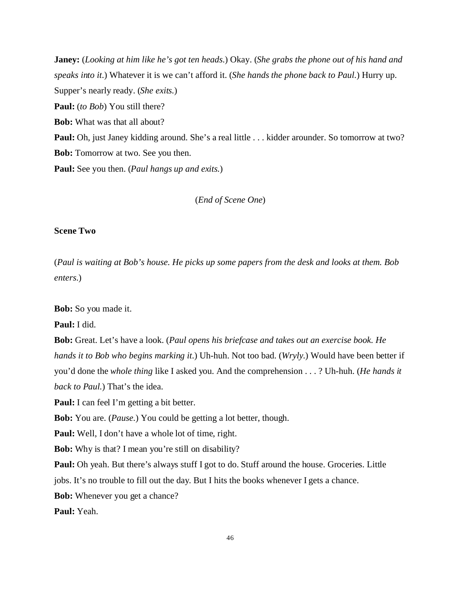**Janey:** (*Looking at him like he's got ten heads*.) Okay. (*She grabs the phone out of his hand and speaks into it*.) Whatever it is we can't afford it. (*She hands the phone back to Paul.*) Hurry up. Supper's nearly ready. (*She exits.*) **Paul:** (*to Bob*) You still there? **Bob:** What was that all about? **Paul:** Oh, just Janey kidding around. She's a real little . . . kidder arounder. So tomorrow at two? **Bob:** Tomorrow at two. See you then. **Paul:** See you then. (*Paul hangs up and exits.*)

(*End of Scene One*)

### **Scene Two**

(*Paul is waiting at Bob's house. He picks up some papers from the desk and looks at them. Bob enters.*)

**Bob:** So you made it.

**Paul:** I did.

**Bob:** Great. Let's have a look. (*Paul opens his briefcase and takes out an exercise book. He hands it to Bob who begins marking it*.) Uh-huh. Not too bad. (*Wryly.*) Would have been better if you'd done the *whole thing* like I asked you. And the comprehension . . . ? Uh-huh. (*He hands it back to Paul.*) That's the idea.

**Paul:** I can feel I'm getting a bit better.

**Bob:** You are. (*Pause.*) You could be getting a lot better, though.

**Paul:** Well, I don't have a whole lot of time, right.

**Bob:** Why is that? I mean you're still on disability?

Paul: Oh yeah. But there's always stuff I got to do. Stuff around the house. Groceries. Little

jobs. It's no trouble to fill out the day. But I hits the books whenever I gets a chance.

**Bob:** Whenever you get a chance?

**Paul:** Yeah.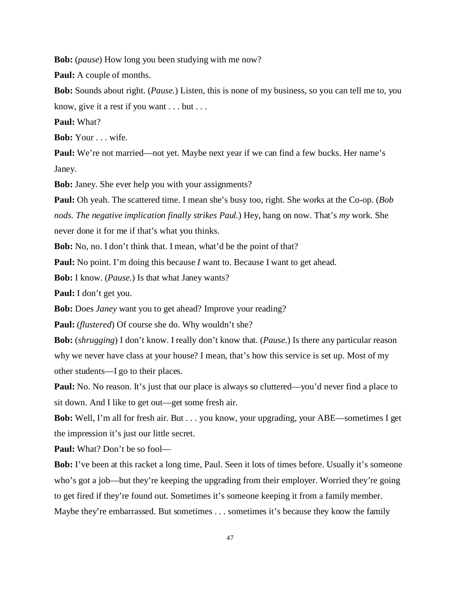**Bob:** (*pause*) How long you been studying with me now?

**Paul:** A couple of months.

**Bob:** Sounds about right. (*Pause.*) Listen, this is none of my business, so you can tell me to, you know, give it a rest if you want . . . but . . .

**Paul:** What?

**Bob:** Your . . . wife.

**Paul:** We're not married—not yet. Maybe next year if we can find a few bucks. Her name's Janey.

**Bob:** Janey. She ever help you with your assignments?

**Paul:** Oh yeah. The scattered time. I mean she's busy too, right. She works at the Co-op. (*Bob nods. The negative implication finally strikes Paul.*) Hey, hang on now. That's *my* work. She never done it for me if that's what you thinks.

**Bob:** No, no. I don't think that. I mean, what'd be the point of that?

**Paul:** No point. I'm doing this because *I* want to. Because I want to get ahead.

**Bob:** I know. (*Pause.*) Is that what Janey wants?

**Paul:** I don't get you.

**Bob:** Does *Janey* want you to get ahead? Improve your reading?

**Paul:** (*flustered*) Of course she do. Why wouldn't she?

**Bob:** (*shrugging*) I don't know. I really don't know that. (*Pause.*) Is there any particular reason why we never have class at your house? I mean, that's how this service is set up. Most of my other students—I go to their places.

**Paul:** No. No reason. It's just that our place is always so cluttered—you'd never find a place to sit down. And I like to get out—get some fresh air.

**Bob:** Well, I'm all for fresh air. But . . . you know, your upgrading, your ABE—sometimes I get the impression it's just our little secret.

**Paul:** What? Don't be so fool—

**Bob:** I've been at this racket a long time, Paul. Seen it lots of times before. Usually it's someone who's got a job—but they're keeping the upgrading from their employer. Worried they're going to get fired if they're found out. Sometimes it's someone keeping it from a family member. Maybe they're embarrassed. But sometimes . . . sometimes it's because they know the family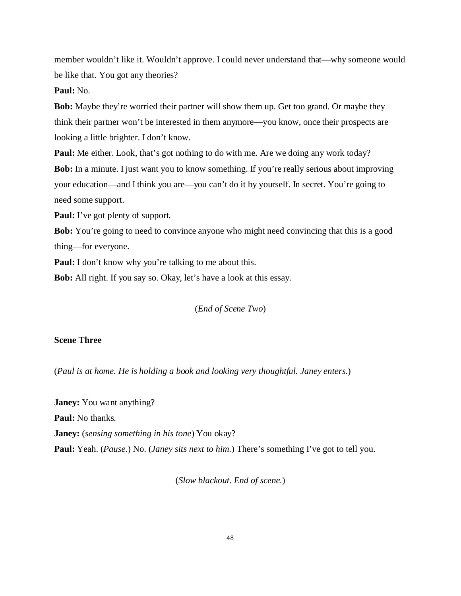member wouldn't like it. Wouldn't approve. I could never understand that—why someone would be like that. You got any theories?

## **Paul:** No.

**Bob:** Maybe they're worried their partner will show them up. Get too grand. Or maybe they think their partner won't be interested in them anymore—you know, once their prospects are looking a little brighter. I don't know.

**Paul:** Me either. Look, that's got nothing to do with me. Are we doing any work today? **Bob:** In a minute. I just want you to know something. If you're really serious about improving your education—and I think you are—you can't do it by yourself. In secret. You're going to need some support.

**Paul:** I've got plenty of support.

**Bob:** You're going to need to convince anyone who might need convincing that this is a good thing—for everyone.

**Paul:** I don't know why you're talking to me about this.

**Bob:** All right. If you say so. Okay, let's have a look at this essay.

### (*End of Scene Two*)

## **Scene Three**

(*Paul is at home. He is holding a book and looking very thoughtful. Janey enters.*)

**Janey:** You want anything? **Paul:** No thanks. **Janey:** (*sensing something in his tone*) You okay? **Paul:** Yeah. (*Pause.*) No. (*Janey sits next to him.*) There's something I've got to tell you.

(*Slow blackout. End of scene.*)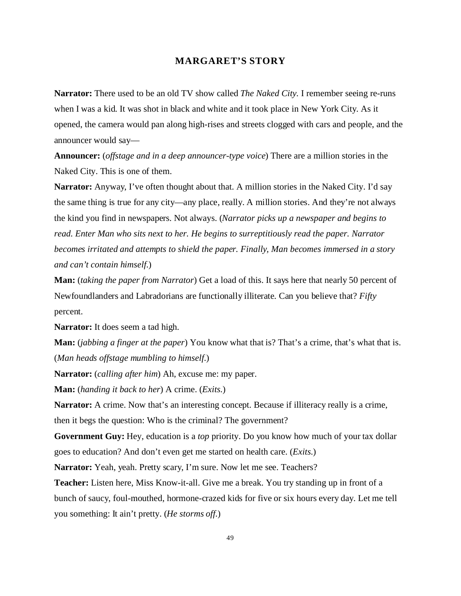## **MARGARET'S STORY**

**Narrator:** There used to be an old TV show called *The Naked City.* I remember seeing re-runs when I was a kid. It was shot in black and white and it took place in New York City. As it opened, the camera would pan along high-rises and streets clogged with cars and people, and the announcer would say—

**Announcer:** (*offstage and in a deep announcer-type voice*) There are a million stories in the Naked City. This is one of them.

**Narrator:** Anyway, I've often thought about that. A million stories in the Naked City. I'd say the same thing is true for any city—any place, really. A million stories. And they're not always the kind you find in newspapers. Not always. (*Narrator picks up a newspaper and begins to read. Enter Man who sits next to her. He begins to surreptitiously read the paper. Narrator becomes irritated and attempts to shield the paper. Finally, Man becomes immersed in a story and can't contain himself.*)

**Man:** (*taking the paper from Narrator*) Get a load of this. It says here that nearly 50 percent of Newfoundlanders and Labradorians are functionally illiterate. Can you believe that? *Fifty* percent.

**Narrator:** It does seem a tad high.

**Man:** (*jabbing a finger at the paper*) You know what that is? That's a crime, that's what that is. (*Man heads offstage mumbling to himself.*)

**Narrator:** (*calling after him*) Ah, excuse me: my paper.

**Man:** (*handing it back to her*) A crime. (*Exits.*)

**Narrator:** A crime. Now that's an interesting concept. Because if illiteracy really is a crime, then it begs the question: Who is the criminal? The government?

**Government Guy:** Hey, education is a *top* priority. Do you know how much of your tax dollar goes to education? And don't even get me started on health care. (*Exits.*)

Narrator: Yeah, yeah. Pretty scary, I'm sure. Now let me see. Teachers?

**Teacher:** Listen here, Miss Know-it-all. Give me a break. You try standing up in front of a bunch of saucy, foul-mouthed, hormone-crazed kids for five or six hours every day. Let me tell you something: It ain't pretty. (*He storms off.*)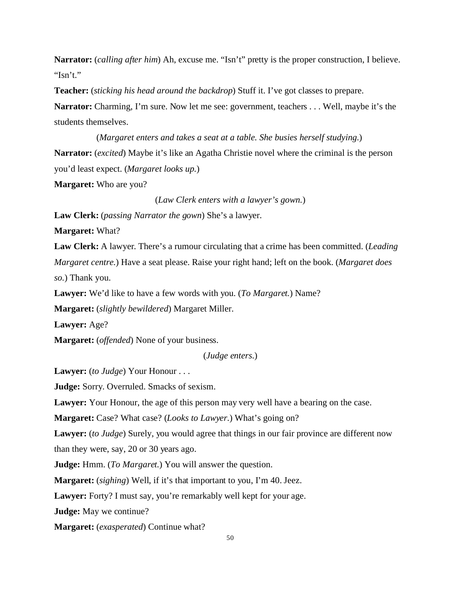**Narrator:** (*calling after him*) Ah, excuse me. "Isn't" pretty is the proper construction, I believe. "Isn't."

**Teacher:** (*sticking his head around the backdrop*) Stuff it. I've got classes to prepare.

**Narrator:** Charming, I'm sure. Now let me see: government, teachers . . . Well, maybe it's the students themselves.

(*Margaret enters and takes a seat at a table. She busies herself studying.*) **Narrator:** (*excited*) Maybe it's like an Agatha Christie novel where the criminal is the person you'd least expect. (*Margaret looks up.*) **Margaret:** Who are you?

(*Law Clerk enters with a lawyer's gown.*)

**Law Clerk:** (*passing Narrator the gown*) She's a lawyer.

**Margaret:** What?

**Law Clerk:** A lawyer. There's a rumour circulating that a crime has been committed. (*Leading Margaret centre.*) Have a seat please. Raise your right hand; left on the book. (*Margaret does so.*) Thank you.

**Lawyer:** We'd like to have a few words with you. (*To Margaret.*) Name?

**Margaret:** (*slightly bewildered*) Margaret Miller.

**Lawyer:** Age?

**Margaret:** (*offended*) None of your business.

(*Judge enters.*)

**Lawyer:** (*to Judge*) Your Honour . . .

**Judge:** Sorry. Overruled. Smacks of sexism.

**Lawyer:** Your Honour, the age of this person may very well have a bearing on the case.

**Margaret:** Case? What case? (*Looks to Lawyer.*) What's going on?

**Lawyer:** (*to Judge*) Surely, you would agree that things in our fair province are different now

than they were, say, 20 or 30 years ago.

**Judge:** Hmm. (*To Margaret.*) You will answer the question.

**Margaret:** (*sighing*) Well, if it's that important to you, I'm 40. Jeez.

**Lawyer:** Forty? I must say, you're remarkably well kept for your age.

**Judge:** May we continue?

**Margaret:** (*exasperated*) Continue what?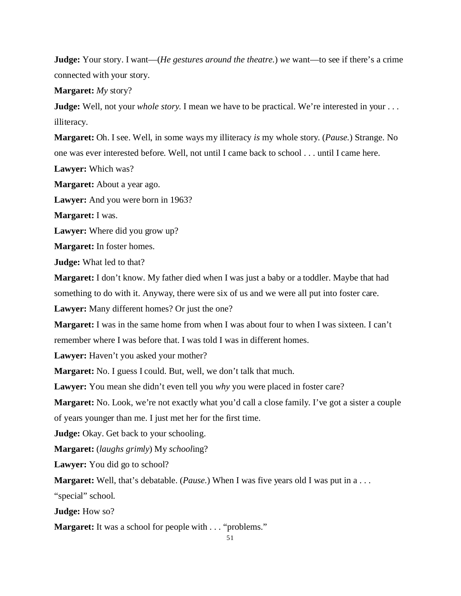**Judge:** Your story. I want—(*He gestures around the theatre.*) *we* want—to see if there's a crime connected with your story.

**Margaret:** *My* story?

**Judge:** Well, not your *whole story*. I mean we have to be practical. We're interested in your ... illiteracy.

**Margaret:** Oh. I see. Well, in some ways my illiteracy *is* my whole story. (*Pause.*) Strange. No one was ever interested before. Well, not until I came back to school . . . until I came here.

**Lawyer:** Which was?

**Margaret:** About a year ago.

**Lawyer:** And you were born in 1963?

**Margaret:** I was.

**Lawyer:** Where did you grow up?

**Margaret:** In foster homes.

**Judge:** What led to that?

**Margaret:** I don't know. My father died when I was just a baby or a toddler. Maybe that had something to do with it. Anyway, there were six of us and we were all put into foster care.

**Lawyer:** Many different homes? Or just the one?

**Margaret:** I was in the same home from when I was about four to when I was sixteen. I can't remember where I was before that. I was told I was in different homes.

**Lawyer:** Haven't you asked your mother?

**Margaret:** No. I guess I could. But, well, we don't talk that much.

**Lawyer:** You mean she didn't even tell you *why* you were placed in foster care?

**Margaret:** No. Look, we're not exactly what you'd call a close family. I've got a sister a couple

of years younger than me. I just met her for the first time.

**Judge:** Okay. Get back to your schooling.

**Margaret:** (*laughs grimly*) My *school*ing?

**Lawyer:** You did go to school?

**Margaret:** Well, that's debatable. (*Pause*.) When I was five years old I was put in a...

"special" school.

**Judge:** How so?

**Margaret:** It was a school for people with . . . "problems."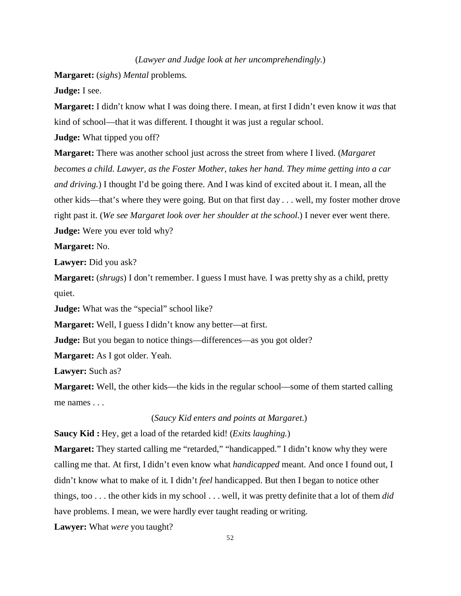### (*Lawyer and Judge look at her uncomprehendingly.*)

**Margaret:** (*sighs*) *Mental* problems.

**Judge:** I see.

**Margaret:** I didn't know what I was doing there. I mean, at first I didn't even know it *was* that kind of school—that it was different. I thought it was just a regular school.

**Judge:** What tipped you off?

**Margaret:** There was another school just across the street from where I lived. (*Margaret becomes a child. Lawyer, as the Foster Mother, takes her hand. They mime getting into a car and driving.*) I thought I'd be going there. And I was kind of excited about it. I mean, all the other kids—that's where they were going. But on that first day . . . well, my foster mother drove right past it. (*We see Margaret look over her shoulder at the school.*) I never ever went there. **Judge:** Were you ever told why?

**Margaret:** No.

**Lawyer:** Did you ask?

**Margaret:** (*shrugs*) I don't remember. I guess I must have. I was pretty shy as a child, pretty quiet.

**Judge:** What was the "special" school like?

**Margaret:** Well, I guess I didn't know any better—at first.

**Judge:** But you began to notice things—differences—as you got older?

**Margaret:** As I got older. Yeah.

**Lawyer:** Such as?

**Margaret:** Well, the other kids—the kids in the regular school—some of them started calling me names . . .

# (*Saucy Kid enters and points at Margaret.*)

**Saucy Kid :** Hey, get a load of the retarded kid! (*Exits laughing.*)

**Margaret:** They started calling me "retarded," "handicapped." I didn't know why they were calling me that. At first, I didn't even know what *handicapped* meant. And once I found out, I didn't know what to make of it. I didn't *feel* handicapped. But then I began to notice other things, too . . . the other kids in my school . . . well, it was pretty definite that a lot of them *did* have problems. I mean, we were hardly ever taught reading or writing.

**Lawyer:** What *were* you taught?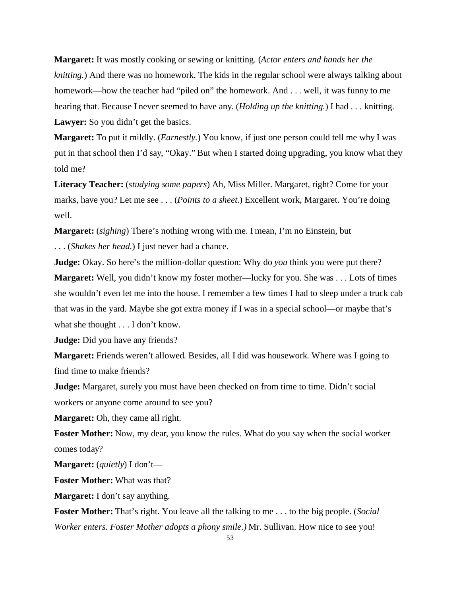**Margaret:** It was mostly cooking or sewing or knitting. (*Actor enters and hands her the knitting.*) And there was no homework. The kids in the regular school were always talking about homework—how the teacher had "piled on" the homework. And . . . well, it was funny to me hearing that. Because I never seemed to have any. (*Holding up the knitting.*) I had . . . knitting. Lawyer: So you didn't get the basics.

**Margaret:** To put it mildly. (*Earnestly.*) You know, if just one person could tell me why I was put in that school then I'd say, "Okay." But when I started doing upgrading, you know what they told me?

**Literacy Teacher:** (*studying some papers*) Ah, Miss Miller. Margaret, right? Come for your marks, have you? Let me see . . . (*Points to a sheet.*) Excellent work, Margaret. You're doing well.

**Margaret:** (*sighing*) There's nothing wrong with me. I mean, I'm no Einstein, but . . . (*Shakes her head.*) I just never had a chance.

**Judge:** Okay. So here's the million-dollar question: Why do *you* think you were put there? **Margaret:** Well, you didn't know my foster mother—lucky for you. She was . . . Lots of times she wouldn't even let me into the house. I remember a few times I had to sleep under a truck cab that was in the yard. Maybe she got extra money if I was in a special school—or maybe that's what she thought . . . I don't know.

**Judge:** Did you have any friends?

**Margaret:** Friends weren't allowed. Besides, all I did was housework. Where was I going to find time to make friends?

**Judge:** Margaret, surely you must have been checked on from time to time. Didn't social workers or anyone come around to see you?

**Margaret:** Oh, they came all right.

**Foster Mother:** Now, my dear, you know the rules. What do you say when the social worker comes today?

**Margaret:** (*quietly*) I don't—

**Foster Mother:** What was that?

**Margaret:** I don't say anything.

**Foster Mother:** That's right. You leave all the talking to me . . . to the big people. (*Social Worker enters. Foster Mother adopts a phony smile.)* Mr. Sullivan. How nice to see you!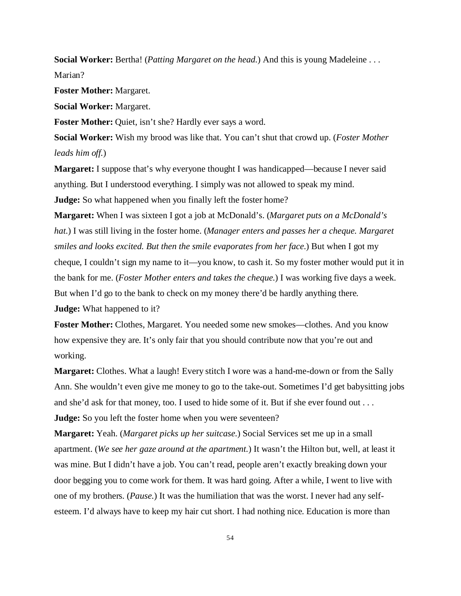**Social Worker:** Bertha! (*Patting Margaret on the head.*) And this is young Madeleine . . . Marian?

**Foster Mother:** Margaret.

**Social Worker:** Margaret.

Foster Mother: Quiet, isn't she? Hardly ever says a word.

**Social Worker:** Wish my brood was like that. You can't shut that crowd up. (*Foster Mother leads him off.*)

**Margaret:** I suppose that's why everyone thought I was handicapped—because I never said anything. But I understood everything. I simply was not allowed to speak my mind. **Judge:** So what happened when you finally left the foster home?

**Margaret:** When I was sixteen I got a job at McDonald's. (*Margaret puts on a McDonald's hat.*) I was still living in the foster home. (*Manager enters and passes her a cheque. Margaret smiles and looks excited. But then the smile evaporates from her face.*) But when I got my cheque, I couldn't sign my name to it—you know, to cash it. So my foster mother would put it in the bank for me. (*Foster Mother enters and takes the cheque.*) I was working five days a week. But when I'd go to the bank to check on my money there'd be hardly anything there. **Judge:** What happened to it?

**Foster Mother:** Clothes, Margaret. You needed some new smokes—clothes. And you know how expensive they are. It's only fair that you should contribute now that you're out and working.

**Margaret:** Clothes. What a laugh! Every stitch I wore was a hand-me-down or from the Sally Ann. She wouldn't even give me money to go to the take-out. Sometimes I'd get babysitting jobs and she'd ask for that money, too. I used to hide some of it. But if she ever found out . . . **Judge:** So you left the foster home when you were seventeen?

**Margaret:** Yeah. (*Margaret picks up her suitcase.*) Social Services set me up in a small apartment. (*We see her gaze around at the apartment.*) It wasn't the Hilton but, well, at least it was mine. But I didn't have a job. You can't read, people aren't exactly breaking down your door begging you to come work for them. It was hard going. After a while, I went to live with one of my brothers. (*Pause.*) It was the humiliation that was the worst. I never had any selfesteem. I'd always have to keep my hair cut short. I had nothing nice. Education is more than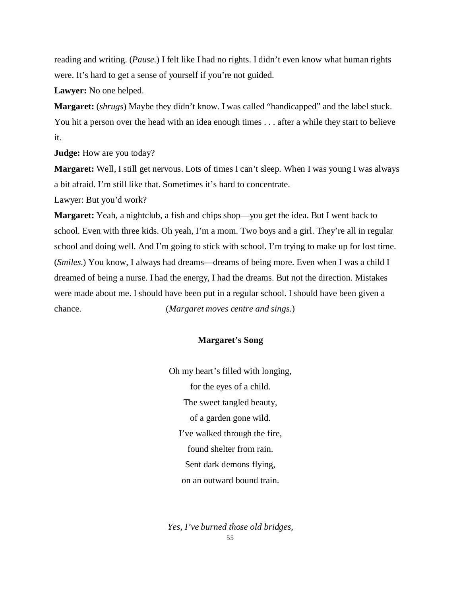reading and writing. (*Pause.*) I felt like I had no rights. I didn't even know what human rights were. It's hard to get a sense of yourself if you're not guided.

**Lawyer:** No one helped.

**Margaret:** (*shrugs*) Maybe they didn't know. I was called "handicapped" and the label stuck. You hit a person over the head with an idea enough times . . . after a while they start to believe it.

**Judge:** How are you today?

**Margaret:** Well, I still get nervous. Lots of times I can't sleep. When I was young I was always a bit afraid. I'm still like that. Sometimes it's hard to concentrate.

Lawyer: But you'd work?

**Margaret:** Yeah, a nightclub, a fish and chips shop—you get the idea. But I went back to school. Even with three kids. Oh yeah, I'm a mom. Two boys and a girl. They're all in regular school and doing well. And I'm going to stick with school. I'm trying to make up for lost time. (*Smiles.*) You know, I always had dreams—dreams of being more. Even when I was a child I dreamed of being a nurse. I had the energy, I had the dreams. But not the direction. Mistakes were made about me. I should have been put in a regular school. I should have been given a chance. (*Margaret moves centre and sings.*)

### **Margaret's Song**

Oh my heart's filled with longing, for the eyes of a child. The sweet tangled beauty, of a garden gone wild. I've walked through the fire, found shelter from rain. Sent dark demons flying, on an outward bound train.

55 *Yes, I've burned those old bridges,*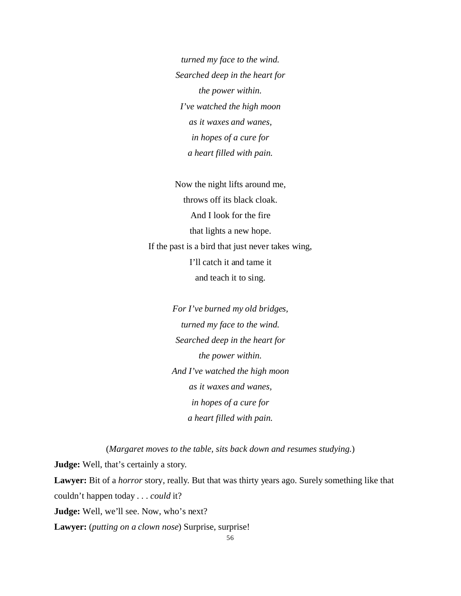*turned my face to the wind. Searched deep in the heart for the power within. I've watched the high moon as it waxes and wanes, in hopes of a cure for a heart filled with pain.*

Now the night lifts around me, throws off its black cloak. And I look for the fire that lights a new hope. If the past is a bird that just never takes wing, I'll catch it and tame it and teach it to sing.

> *For I've burned my old bridges, turned my face to the wind. Searched deep in the heart for the power within. And I've watched the high moon as it waxes and wanes, in hopes of a cure for a heart filled with pain.*

(*Margaret moves to the table, sits back down and resumes studying.*) **Judge:** Well, that's certainly a story. **Lawyer:** Bit of a *horror* story, really. But that was thirty years ago. Surely something like that couldn't happen today . . . *could* it? Judge: Well, we'll see. Now, who's next? **Lawyer:** (*putting on a clown nose*) Surprise, surprise!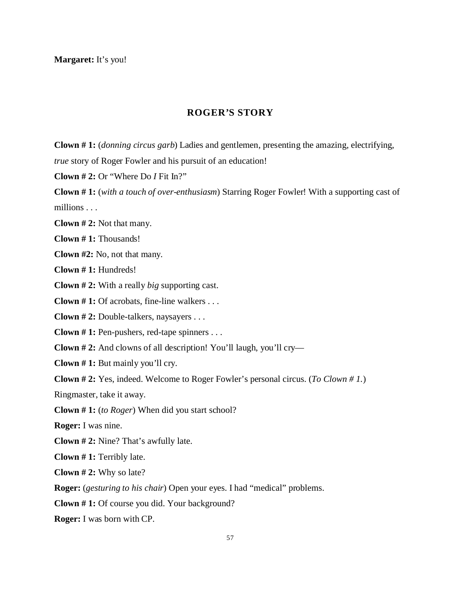**Margaret:** It's you!

# **ROGER'S STORY**

**Clown # 1:** (*donning circus garb*) Ladies and gentlemen, presenting the amazing, electrifying, *true* story of Roger Fowler and his pursuit of an education!

**Clown # 2:** Or "Where Do *I* Fit In?"

**Clown # 1:** (*with a touch of over-enthusiasm*) Starring Roger Fowler! With a supporting cast of millions . . .

**Clown # 2:** Not that many.

**Clown # 1:** Thousands!

**Clown #2:** No, not that many.

**Clown # 1:** Hundreds!

**Clown # 2:** With a really *big* supporting cast.

**Clown # 1:** Of acrobats, fine-line walkers . . .

**Clown # 2:** Double-talkers, naysayers . . .

**Clown # 1:** Pen-pushers, red-tape spinners . . .

**Clown # 2:** And clowns of all description! You'll laugh, you'll cry—

**Clown # 1:** But mainly you'll cry.

**Clown # 2:** Yes, indeed. Welcome to Roger Fowler's personal circus. (*To Clown # 1.*)

Ringmaster, take it away.

**Clown # 1:** (*to Roger*) When did you start school?

**Roger:** I was nine.

**Clown # 2:** Nine? That's awfully late.

**Clown # 1:** Terribly late.

**Clown # 2:** Why so late?

**Roger:** (*gesturing to his chair*) Open your eyes. I had "medical" problems.

**Clown # 1:** Of course you did. Your background?

**Roger:** I was born with CP.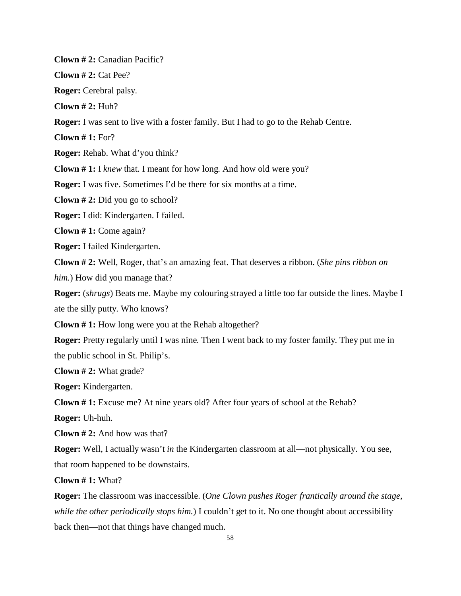**Clown # 2:** Canadian Pacific?

**Clown # 2:** Cat Pee?

**Roger:** Cerebral palsy.

**Clown # 2:** Huh?

**Roger:** I was sent to live with a foster family. But I had to go to the Rehab Centre.

**Clown # 1:** For?

**Roger:** Rehab. What d'you think?

**Clown # 1:** I *knew* that. I meant for how long. And how old were you?

**Roger:** I was five. Sometimes I'd be there for six months at a time.

**Clown # 2:** Did you go to school?

**Roger:** I did: Kindergarten. I failed.

**Clown # 1:** Come again?

**Roger:** I failed Kindergarten.

**Clown # 2:** Well, Roger, that's an amazing feat. That deserves a ribbon. (*She pins ribbon on him.*) How did you manage that?

**Roger:** (*shrugs*) Beats me. Maybe my colouring strayed a little too far outside the lines. Maybe I ate the silly putty. Who knows?

**Clown # 1:** How long were you at the Rehab altogether?

**Roger:** Pretty regularly until I was nine. Then I went back to my foster family. They put me in the public school in St. Philip's.

**Clown # 2:** What grade?

**Roger:** Kindergarten.

**Clown # 1:** Excuse me? At nine years old? After four years of school at the Rehab?

**Roger:** Uh-huh.

**Clown # 2:** And how was that?

**Roger:** Well, I actually wasn't *in* the Kindergarten classroom at all—not physically. You see, that room happened to be downstairs.

**Clown # 1:** What?

**Roger:** The classroom was inaccessible. (*One Clown pushes Roger frantically around the stage, while the other periodically stops him.*) I couldn't get to it. No one thought about accessibility back then—not that things have changed much.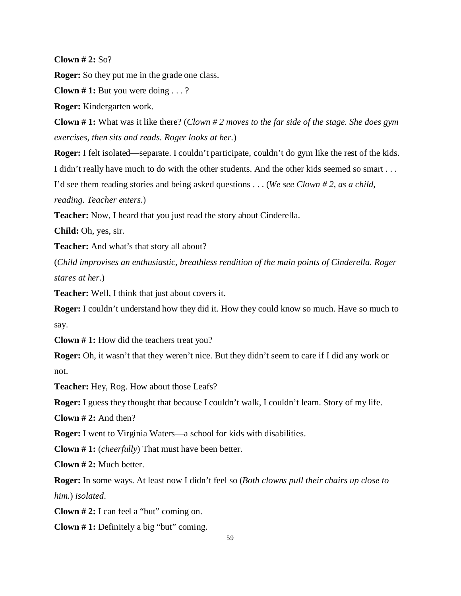**Clown # 2:** So?

**Roger:** So they put me in the grade one class.

**Clown # 1:** But you were doing . . . ?

**Roger:** Kindergarten work.

**Clown # 1:** What was it like there? (*Clown # 2 moves to the far side of the stage. She does gym exercises, then sits and reads. Roger looks at her.*)

**Roger:** I felt isolated—separate. I couldn't participate, couldn't do gym like the rest of the kids. I didn't really have much to do with the other students. And the other kids seemed so smart . . .

I'd see them reading stories and being asked questions . . . (*We see Clown # 2, as a child,*

*reading. Teacher enters.*)

**Teacher:** Now, I heard that you just read the story about Cinderella.

**Child:** Oh, yes, sir.

**Teacher:** And what's that story all about?

(*Child improvises an enthusiastic, breathless rendition of the main points of Cinderella. Roger stares at her.*)

**Teacher:** Well, I think that just about covers it.

**Roger:** I couldn't understand how they did it. How they could know so much. Have so much to say.

**Clown # 1:** How did the teachers treat you?

**Roger:** Oh, it wasn't that they weren't nice. But they didn't seem to care if I did any work or not.

**Teacher:** Hey, Rog. How about those Leafs?

**Roger:** I guess they thought that because I couldn't walk, I couldn't learn. Story of my life.

**Clown # 2:** And then?

**Roger:** I went to Virginia Waters—a school for kids with disabilities.

**Clown # 1:** (*cheerfully*) That must have been better.

**Clown # 2:** Much better.

**Roger:** In some ways. At least now I didn't feel so (*Both clowns pull their chairs up close to him.*) *isolated*.

**Clown # 2:** I can feel a "but" coming on.

**Clown # 1:** Definitely a big "but" coming.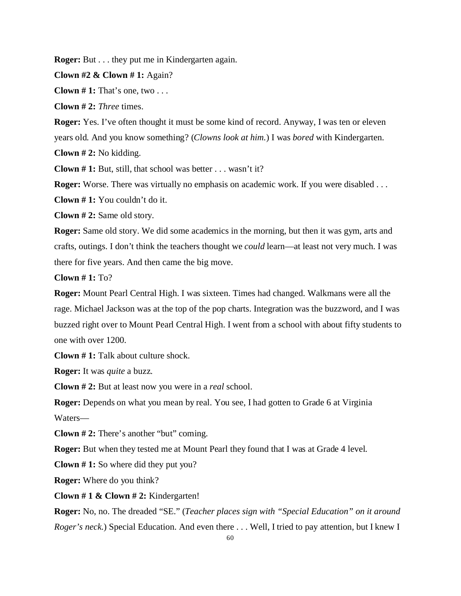**Roger:** But . . . they put me in Kindergarten again.

**Clown #2 & Clown # 1:** Again?

**Clown # 1:** That's one, two . . .

**Clown # 2:** *Three* times.

**Roger:** Yes. I've often thought it must be some kind of record. Anyway, I was ten or eleven

years old. And you know something? (*Clowns look at him.*) I was *bored* with Kindergarten.

**Clown # 2:** No kidding.

**Clown # 1:** But, still, that school was better . . . wasn't it?

**Roger:** Worse. There was virtually no emphasis on academic work. If you were disabled . . .

**Clown # 1:** You couldn't do it.

**Clown # 2:** Same old story.

**Roger:** Same old story. We did some academics in the morning, but then it was gym, arts and crafts, outings. I don't think the teachers thought we *could* learn—at least not very much. I was there for five years. And then came the big move.

**Clown # 1:** To?

**Roger:** Mount Pearl Central High. I was sixteen. Times had changed. Walkmans were all the rage. Michael Jackson was at the top of the pop charts. Integration was the buzzword, and I was buzzed right over to Mount Pearl Central High. I went from a school with about fifty students to one with over 1200.

**Clown # 1:** Talk about culture shock.

**Roger:** It was *quite* a buzz.

**Clown # 2:** But at least now you were in a *real* school.

**Roger:** Depends on what you mean by real. You see, I had gotten to Grade 6 at Virginia Waters—

**Clown # 2:** There's another "but" coming.

**Roger:** But when they tested me at Mount Pearl they found that I was at Grade 4 level.

**Clown # 1:** So where did they put you?

**Roger:** Where do you think?

**Clown # 1 & Clown # 2:** Kindergarten!

**Roger:** No, no. The dreaded "SE." (*Teacher places sign with "Special Education" on it around Roger's neck.*) Special Education. And even there . . . Well, I tried to pay attention, but I knew I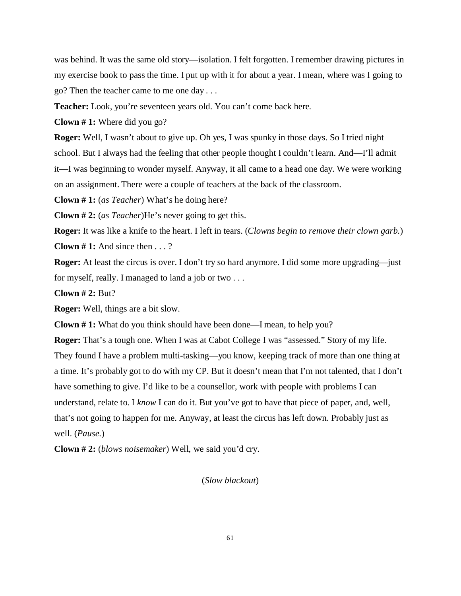was behind. It was the same old story—isolation. I felt forgotten. I remember drawing pictures in my exercise book to pass the time. I put up with it for about a year. I mean, where was I going to go? Then the teacher came to me one day . . .

**Teacher:** Look, you're seventeen years old. You can't come back here.

**Clown # 1:** Where did you go?

**Roger:** Well, I wasn't about to give up. Oh yes, I was spunky in those days. So I tried night school. But I always had the feeling that other people thought I couldn't learn. And—I'll admit it—I was beginning to wonder myself. Anyway, it all came to a head one day. We were working on an assignment. There were a couple of teachers at the back of the classroom.

**Clown # 1:** (*as Teacher*) What's he doing here?

**Clown # 2:** (*as Teacher*)He's never going to get this.

**Roger:** It was like a knife to the heart. I left in tears. (*Clowns begin to remove their clown garb.*) **Clown # 1:** And since then . . . ?

**Roger:** At least the circus is over. I don't try so hard anymore. I did some more upgrading—just for myself, really. I managed to land a job or two . . .

**Clown # 2:** But?

**Roger:** Well, things are a bit slow.

**Clown # 1:** What do you think should have been done—I mean, to help you?

**Roger:** That's a tough one. When I was at Cabot College I was "assessed." Story of my life. They found I have a problem multi-tasking—you know, keeping track of more than one thing at a time. It's probably got to do with my CP. But it doesn't mean that I'm not talented, that I don't have something to give. I'd like to be a counsellor, work with people with problems I can understand, relate to. I *know* I can do it. But you've got to have that piece of paper, and, well, that's not going to happen for me. Anyway, at least the circus has left down. Probably just as well. (*Pause.*)

**Clown # 2:** (*blows noisemaker*) Well, we said you'd cry.

(*Slow blackout*)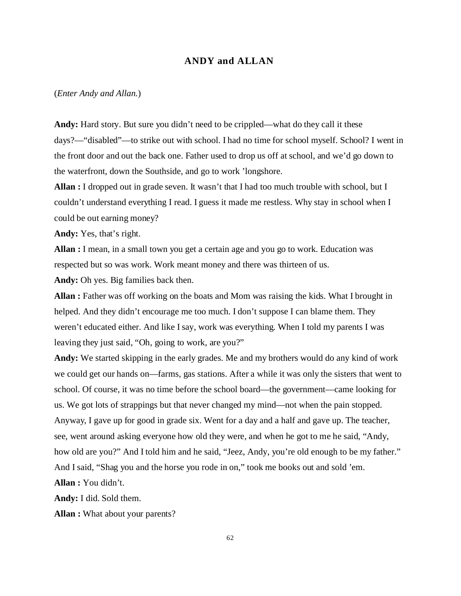## **ANDY and ALLAN**

#### (*Enter Andy and Allan.*)

**Andy:** Hard story. But sure you didn't need to be crippled—what do they call it these days?—"disabled"—to strike out with school. I had no time for school myself. School? I went in the front door and out the back one. Father used to drop us off at school, and we'd go down to the waterfront, down the Southside, and go to work 'longshore.

**Allan :** I dropped out in grade seven. It wasn't that I had too much trouble with school, but I couldn't understand everything I read. I guess it made me restless. Why stay in school when I could be out earning money?

**Andy:** Yes, that's right.

**Allan :** I mean, in a small town you get a certain age and you go to work. Education was respected but so was work. Work meant money and there was thirteen of us.

**Andy:** Oh yes. Big families back then.

**Allan :** Father was off working on the boats and Mom was raising the kids. What I brought in helped. And they didn't encourage me too much. I don't suppose I can blame them. They weren't educated either. And like I say, work was everything. When I told my parents I was leaving they just said, "Oh, going to work, are you?"

**Andy:** We started skipping in the early grades. Me and my brothers would do any kind of work we could get our hands on—farms, gas stations. After a while it was only the sisters that went to school. Of course, it was no time before the school board—the government—came looking for us. We got lots of strappings but that never changed my mind—not when the pain stopped. Anyway, I gave up for good in grade six. Went for a day and a half and gave up. The teacher, see, went around asking everyone how old they were, and when he got to me he said, "Andy, how old are you?" And I told him and he said, "Jeez, Andy, you're old enough to be my father." And I said, "Shag you and the horse you rode in on," took me books out and sold 'em.

**Allan :** You didn't.

**Andy:** I did. Sold them.

**Allan :** What about your parents?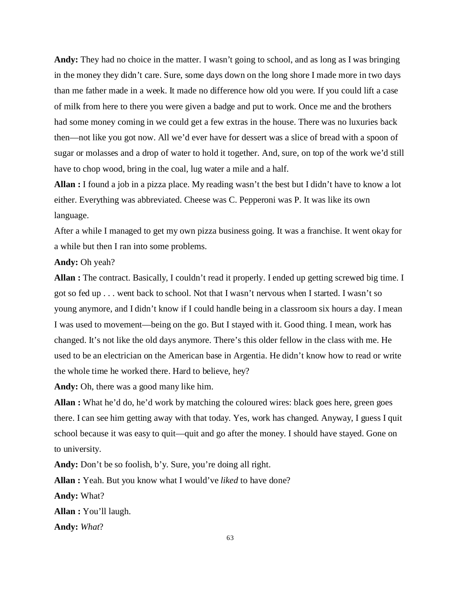**Andy:** They had no choice in the matter. I wasn't going to school, and as long as I was bringing in the money they didn't care. Sure, some days down on the long shore I made more in two days than me father made in a week. It made no difference how old you were. If you could lift a case of milk from here to there you were given a badge and put to work. Once me and the brothers had some money coming in we could get a few extras in the house. There was no luxuries back then—not like you got now. All we'd ever have for dessert was a slice of bread with a spoon of sugar or molasses and a drop of water to hold it together. And, sure, on top of the work we'd still have to chop wood, bring in the coal, lug water a mile and a half.

**Allan :** I found a job in a pizza place. My reading wasn't the best but I didn't have to know a lot either. Everything was abbreviated. Cheese was C. Pepperoni was P. It was like its own language.

After a while I managed to get my own pizza business going. It was a franchise. It went okay for a while but then I ran into some problems.

**Andy:** Oh yeah?

**Allan :** The contract. Basically, I couldn't read it properly. I ended up getting screwed big time. I got so fed up . . . went back to school. Not that I wasn't nervous when I started. I wasn't so young anymore, and I didn't know if I could handle being in a classroom six hours a day. I mean I was used to movement—being on the go. But I stayed with it. Good thing. I mean, work has changed. It's not like the old days anymore. There's this older fellow in the class with me. He used to be an electrician on the American base in Argentia. He didn't know how to read or write the whole time he worked there. Hard to believe, hey?

**Andy:** Oh, there was a good many like him.

**Allan :** What he'd do, he'd work by matching the coloured wires: black goes here, green goes there. I can see him getting away with that today. Yes, work has changed. Anyway, I guess I quit school because it was easy to quit—quit and go after the money. I should have stayed. Gone on to university.

**Andy:** Don't be so foolish, b'y. Sure, you're doing all right.

**Allan :** Yeah. But you know what I would've *liked* to have done?

**Andy:** What?

**Allan :** You'll laugh.

**Andy:** *What*?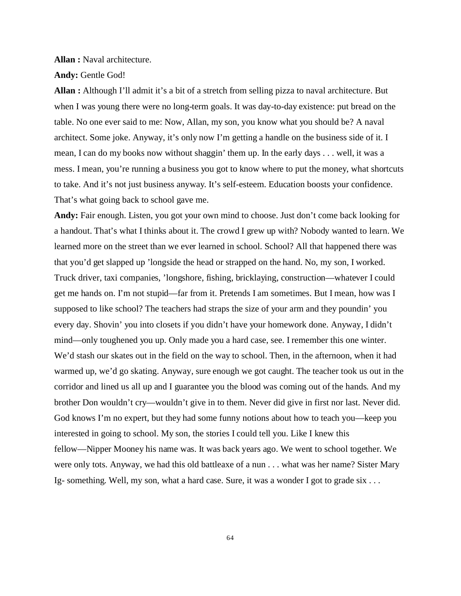**Allan :** Naval architecture.

**Andy:** Gentle God!

**Allan :** Although I'll admit it's a bit of a stretch from selling pizza to naval architecture. But when I was young there were no long-term goals. It was day-to-day existence: put bread on the table. No one ever said to me: Now, Allan, my son, you know what you should be? A naval architect. Some joke. Anyway, it's only now I'm getting a handle on the business side of it. I mean, I can do my books now without shaggin' them up. In the early days . . . well, it was a mess. I mean, you're running a business you got to know where to put the money, what shortcuts to take. And it's not just business anyway. It's self-esteem. Education boosts your confidence. That's what going back to school gave me.

**Andy:** Fair enough. Listen, you got your own mind to choose. Just don't come back looking for a handout. That's what I thinks about it. The crowd I grew up with? Nobody wanted to learn. We learned more on the street than we ever learned in school. School? All that happened there was that you'd get slapped up 'longside the head or strapped on the hand. No, my son, I worked. Truck driver, taxi companies, 'longshore, fishing, bricklaying, construction—whatever I could get me hands on. I'm not stupid—far from it. Pretends I am sometimes. But I mean, how was I supposed to like school? The teachers had straps the size of your arm and they poundin' you every day. Shovin' you into closets if you didn't have your homework done. Anyway, I didn't mind—only toughened you up. Only made you a hard case, see. I remember this one winter. We'd stash our skates out in the field on the way to school. Then, in the afternoon, when it had warmed up, we'd go skating. Anyway, sure enough we got caught. The teacher took us out in the corridor and lined us all up and I guarantee you the blood was coming out of the hands. And my brother Don wouldn't cry—wouldn't give in to them. Never did give in first nor last. Never did. God knows I'm no expert, but they had some funny notions about how to teach you—keep you interested in going to school. My son, the stories I could tell you. Like I knew this fellow—Nipper Mooney his name was. It was back years ago. We went to school together. We were only tots. Anyway, we had this old battleaxe of a nun . . . what was her name? Sister Mary Ig- something. Well, my son, what a hard case. Sure, it was a wonder I got to grade six . . .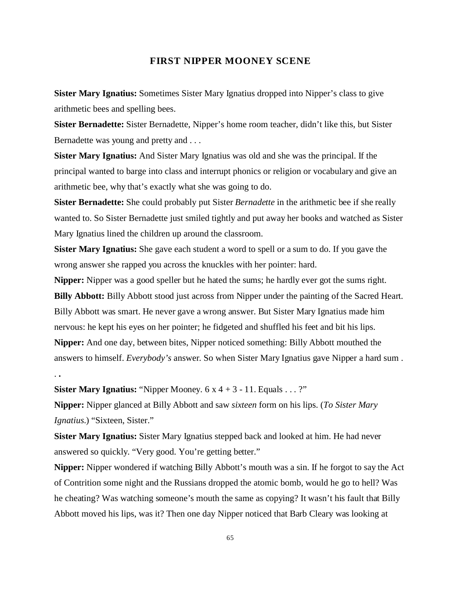### **FIRST NIPPER MOONEY SCENE**

**Sister Mary Ignatius:** Sometimes Sister Mary Ignatius dropped into Nipper's class to give arithmetic bees and spelling bees.

**Sister Bernadette:** Sister Bernadette, Nipper's home room teacher, didn't like this, but Sister Bernadette was young and pretty and . . .

**Sister Mary Ignatius:** And Sister Mary Ignatius was old and she was the principal. If the principal wanted to barge into class and interrupt phonics or religion or vocabulary and give an arithmetic bee, why that's exactly what she was going to do.

**Sister Bernadette:** She could probably put Sister *Bernadette* in the arithmetic bee if she really wanted to. So Sister Bernadette just smiled tightly and put away her books and watched as Sister Mary Ignatius lined the children up around the classroom.

**Sister Mary Ignatius:** She gave each student a word to spell or a sum to do. If you gave the wrong answer she rapped you across the knuckles with her pointer: hard.

**Nipper:** Nipper was a good speller but he hated the sums; he hardly ever got the sums right. **Billy Abbott:** Billy Abbott stood just across from Nipper under the painting of the Sacred Heart. Billy Abbott was smart. He never gave a wrong answer. But Sister Mary Ignatius made him nervous: he kept his eyes on her pointer; he fidgeted and shuffled his feet and bit his lips. **Nipper:** And one day, between bites, Nipper noticed something: Billy Abbott mouthed the answers to himself. *Everybody's* answer. So when Sister Mary Ignatius gave Nipper a hard sum . . **.**

**Sister Mary Ignatius:** "Nipper Mooney.  $6 \times 4 + 3 - 11$ . Equals . . . ?"

**Nipper:** Nipper glanced at Billy Abbott and saw *sixteen* form on his lips. (*To Sister Mary Ignatius.*) "Sixteen, Sister."

**Sister Mary Ignatius:** Sister Mary Ignatius stepped back and looked at him. He had never answered so quickly. "Very good. You're getting better."

**Nipper:** Nipper wondered if watching Billy Abbott's mouth was a sin. If he forgot to say the Act of Contrition some night and the Russians dropped the atomic bomb, would he go to hell? Was he cheating? Was watching someone's mouth the same as copying? It wasn't his fault that Billy Abbott moved his lips, was it? Then one day Nipper noticed that Barb Cleary was looking at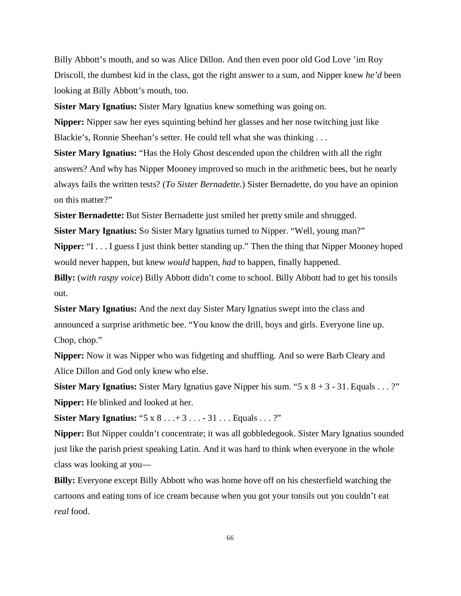Billy Abbott's mouth, and so was Alice Dillon. And then even poor old God Love 'im Roy Driscoll, the dumbest kid in the class, got the right answer to a sum, and Nipper knew *he'd* been looking at Billy Abbott's mouth, too.

**Sister Mary Ignatius:** Sister Mary Ignatius knew something was going on.

**Nipper:** Nipper saw her eyes squinting behind her glasses and her nose twitching just like Blackie's, Ronnie Sheehan's setter. He could tell what she was thinking . . .

**Sister Mary Ignatius:** "Has the Holy Ghost descended upon the children with all the right answers? And why has Nipper Mooney improved so much in the arithmetic bees, but he nearly always fails the written tests? (*To Sister Bernadette.*) Sister Bernadette, do you have an opinion on this matter?"

**Sister Bernadette:** But Sister Bernadette just smiled her pretty smile and shrugged.

**Sister Mary Ignatius:** So Sister Mary Ignatius turned to Nipper. "Well, young man?" **Nipper:** "I . . . I guess I just think better standing up." Then the thing that Nipper Mooney hoped would never happen, but knew *would* happen, *had* to happen, finally happened.

**Billy:** (*with raspy voice*) Billy Abbott didn't come to school. Billy Abbott had to get his tonsils out.

**Sister Mary Ignatius:** And the next day Sister Mary Ignatius swept into the class and announced a surprise arithmetic bee. "You know the drill, boys and girls. Everyone line up. Chop, chop."

**Nipper:** Now it was Nipper who was fidgeting and shuffling. And so were Barb Cleary and Alice Dillon and God only knew who else.

**Sister Mary Ignatius:** Sister Mary Ignatius gave Nipper his sum. "5 x 8 + 3 - 31. Equals . . . ?" **Nipper:** He blinked and looked at her.

**Sister Mary Ignatius:** "5 x 8 . . . + 3 . . . - 31 . . . Equals . . . ?"

**Nipper:** But Nipper couldn't concentrate; it was all gobbledegook. Sister Mary Ignatius sounded just like the parish priest speaking Latin. And it was hard to think when everyone in the whole class was looking at you—

**Billy:** Everyone except Billy Abbott who was home hove off on his chesterfield watching the cartoons and eating tons of ice cream because when you got your tonsils out you couldn't eat *real* food.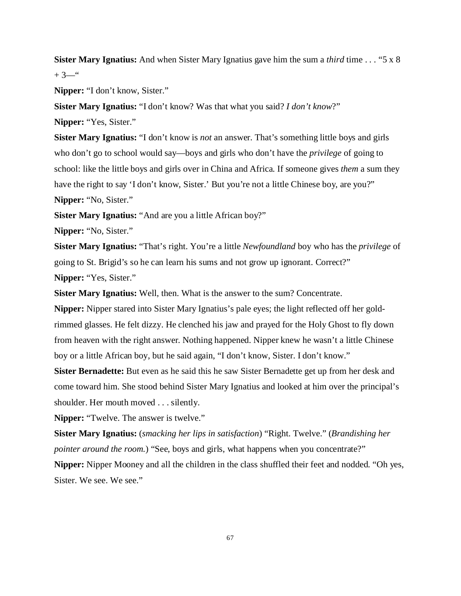**Sister Mary Ignatius:** And when Sister Mary Ignatius gave him the sum a *third* time . . . "5 x 8  $+3$ <sup>"</sup>

**Nipper:** "I don't know, Sister."

**Sister Mary Ignatius:** "I don't know? Was that what you said? *I don't know*?" **Nipper:** "Yes, Sister."

**Sister Mary Ignatius:** "I don't know is *not* an answer. That's something little boys and girls who don't go to school would say—boys and girls who don't have the *privilege* of going to school: like the little boys and girls over in China and Africa. If someone gives *them* a sum they have the right to say 'I don't know, Sister.' But you're not a little Chinese boy, are you?" **Nipper:** "No, Sister."

**Sister Mary Ignatius:** "And are you a little African boy?"

**Nipper:** "No, Sister."

**Sister Mary Ignatius:** "That's right. You're a little *Newfoundland* boy who has the *privilege* of going to St. Brigid's so he can learn his sums and not grow up ignorant. Correct?" **Nipper:** "Yes, Sister."

**Sister Mary Ignatius:** Well, then. What is the answer to the sum? Concentrate.

**Nipper:** Nipper stared into Sister Mary Ignatius's pale eyes; the light reflected off her goldrimmed glasses. He felt dizzy. He clenched his jaw and prayed for the Holy Ghost to fly down from heaven with the right answer. Nothing happened. Nipper knew he wasn't a little Chinese boy or a little African boy, but he said again, "I don't know, Sister. I don't know."

**Sister Bernadette:** But even as he said this he saw Sister Bernadette get up from her desk and come toward him. She stood behind Sister Mary Ignatius and looked at him over the principal's shoulder. Her mouth moved . . . silently.

**Nipper:** "Twelve. The answer is twelve."

**Sister Mary Ignatius:** (*smacking her lips in satisfaction*) "Right. Twelve." (*Brandishing her pointer around the room.*) "See, boys and girls, what happens when you concentrate?"

**Nipper:** Nipper Mooney and all the children in the class shuffled their feet and nodded. "Oh yes, Sister. We see. We see."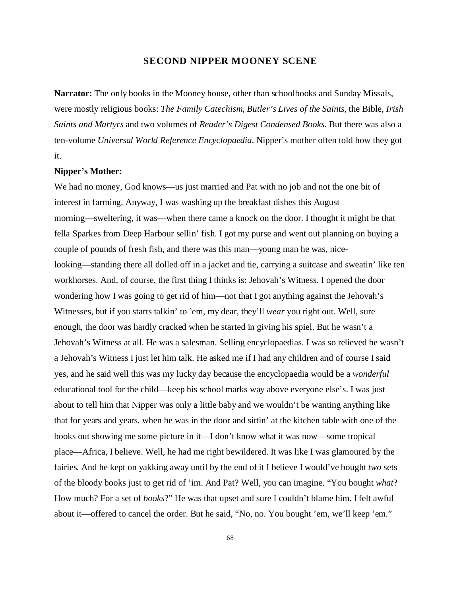### **SECOND NIPPER MOONEY SCENE**

**Narrator:** The only books in the Mooney house, other than schoolbooks and Sunday Missals, were mostly religious books: *The Family Catechism*, *Butler's Lives of the Saints*, the Bible, *Irish Saints and Martyrs* and two volumes of *Reader's Digest Condensed Books*. But there was also a ten-volume *Universal World Reference Encyclopaedia*. Nipper's mother often told how they got it.

### **Nipper's Mother:**

We had no money, God knows—us just married and Pat with no job and not the one bit of interest in farming. Anyway, I was washing up the breakfast dishes this August morning—sweltering, it was—when there came a knock on the door. I thought it might be that fella Sparkes from Deep Harbour sellin' fish. I got my purse and went out planning on buying a couple of pounds of fresh fish, and there was this man—young man he was, nicelooking—standing there all dolled off in a jacket and tie, carrying a suitcase and sweatin' like ten workhorses. And, of course, the first thing I thinks is: Jehovah's Witness. I opened the door wondering how I was going to get rid of him—not that I got anything against the Jehovah's Witnesses, but if you starts talkin' to 'em, my dear, they'll *wear* you right out. Well, sure enough, the door was hardly cracked when he started in giving his spiel. But he wasn't a Jehovah's Witness at all. He was a salesman. Selling encyclopaedias. I was so relieved he wasn't a Jehovah's Witness I just let him talk. He asked me if I had any children and of course I said yes, and he said well this was my lucky day because the encyclopaedia would be a *wonderful* educational tool for the child—keep his school marks way above everyone else's. I was just about to tell him that Nipper was only a little baby and we wouldn't be wanting anything like that for years and years, when he was in the door and sittin' at the kitchen table with one of the books out showing me some picture in it—I don't know what it was now—some tropical place—Africa, I believe. Well, he had me right bewildered. It was like I was glamoured by the fairies. And he kept on yakking away until by the end of it I believe I would've bought *two* sets of the bloody books just to get rid of 'im. And Pat? Well, you can imagine. "You bought *what*? How much? For a set of *books*?" He was that upset and sure I couldn't blame him. I felt awful about it—offered to cancel the order. But he said, "No, no. You bought 'em, we'll keep 'em."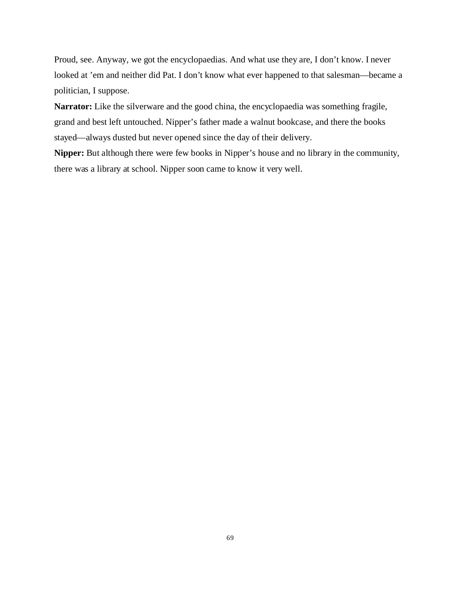Proud, see. Anyway, we got the encyclopaedias. And what use they are, I don't know. I never looked at 'em and neither did Pat. I don't know what ever happened to that salesman—became a politician, I suppose.

**Narrator:** Like the silverware and the good china, the encyclopaedia was something fragile, grand and best left untouched. Nipper's father made a walnut bookcase, and there the books stayed—always dusted but never opened since the day of their delivery.

**Nipper:** But although there were few books in Nipper's house and no library in the community, there was a library at school. Nipper soon came to know it very well.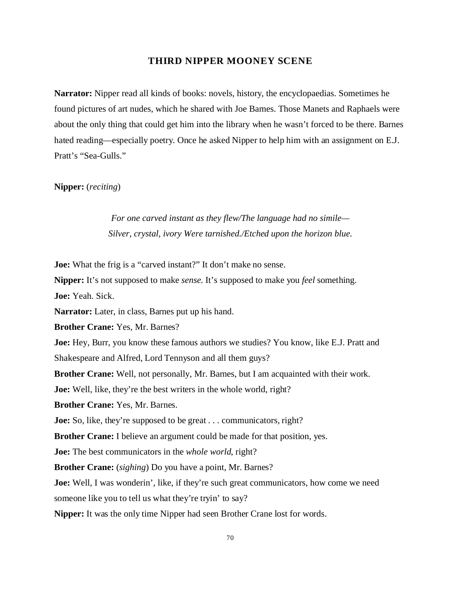## **THIRD NIPPER MOONEY SCENE**

**Narrator:** Nipper read all kinds of books: novels, history, the encyclopaedias. Sometimes he found pictures of art nudes, which he shared with Joe Barnes. Those Manets and Raphaels were about the only thing that could get him into the library when he wasn't forced to be there. Barnes hated reading—especially poetry. Once he asked Nipper to help him with an assignment on E.J. Pratt's "Sea-Gulls."

## **Nipper:** (*reciting*)

*For one carved instant as they flew/The language had no simile— Silver, crystal, ivory Were tarnished./Etched upon the horizon blue.*

**Joe:** What the frig is a "carved instant?" It don't make no sense.

**Nipper:** It's not supposed to make *sense*. It's supposed to make you *feel* something.

**Joe:** Yeah. Sick.

**Narrator:** Later, in class, Barnes put up his hand.

**Brother Crane:** Yes, Mr. Barnes?

**Joe:** Hey, Burr, you know these famous authors we studies? You know, like E.J. Pratt and Shakespeare and Alfred, Lord Tennyson and all them guys?

**Brother Crane:** Well, not personally, Mr. Barnes, but I am acquainted with their work.

**Joe:** Well, like, they're the best writers in the whole world, right?

**Brother Crane:** Yes, Mr. Barnes.

**Joe:** So, like, they're supposed to be great . . . communicators, right?

**Brother Crane:** I believe an argument could be made for that position, yes.

**Joe:** The best communicators in the *whole world*, right?

**Brother Crane:** (*sighing*) Do you have a point, Mr. Barnes?

**Joe:** Well, I was wonderin', like, if they're such great communicators, how come we need someone like you to tell us what they're tryin' to say?

**Nipper:** It was the only time Nipper had seen Brother Crane lost for words.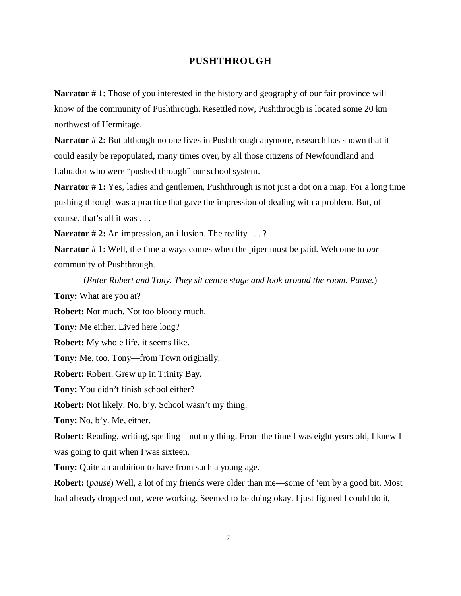## **PUSHTHROUGH**

**Narrator #1:** Those of you interested in the history and geography of our fair province will know of the community of Pushthrough. Resettled now, Pushthrough is located some 20 km northwest of Hermitage.

**Narrator # 2:** But although no one lives in Pushthrough anymore, research has shown that it could easily be repopulated, many times over, by all those citizens of Newfoundland and Labrador who were "pushed through" our school system.

**Narrator # 1:** Yes, ladies and gentlemen, Pushthrough is not just a dot on a map. For a long time pushing through was a practice that gave the impression of dealing with a problem. But, of course, that's all it was . . .

**Narrator #2:** An impression, an illusion. The reality . . .?

**Narrator # 1:** Well, the time always comes when the piper must be paid. Welcome to *our* community of Pushthrough.

(*Enter Robert and Tony. They sit centre stage and look around the room. Pause.*)

**Tony:** What are you at?

**Robert:** Not much. Not too bloody much.

**Tony:** Me either. Lived here long?

**Robert:** My whole life, it seems like.

**Tony:** Me, too. Tony—from Town originally.

**Robert:** Robert. Grew up in Trinity Bay.

**Tony:** You didn't finish school either?

**Robert:** Not likely. No, b'y. School wasn't my thing.

**Tony:** No, b'y. Me, either.

**Robert:** Reading, writing, spelling—not my thing. From the time I was eight years old, I knew I was going to quit when I was sixteen.

**Tony:** Quite an ambition to have from such a young age.

**Robert:** (*pause*) Well, a lot of my friends were older than me—some of 'em by a good bit. Most had already dropped out, were working. Seemed to be doing okay. I just figured I could do it,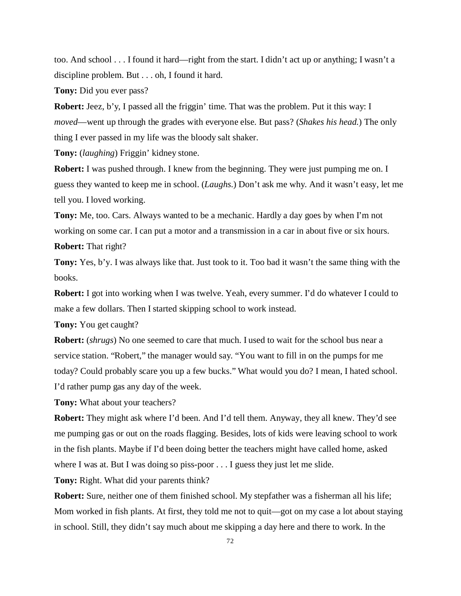too. And school . . . I found it hard—right from the start. I didn't act up or anything; I wasn't a discipline problem. But . . . oh, I found it hard.

**Tony:** Did you ever pass?

**Robert:** Jeez, b'y, I passed all the friggin' time. That was the problem. Put it this way: I *moved*—went up through the grades with everyone else. But pass? (*Shakes his head.*) The only thing I ever passed in my life was the bloody salt shaker.

**Tony:** (*laughing*) Friggin' kidney stone.

**Robert:** I was pushed through. I knew from the beginning. They were just pumping me on. I guess they wanted to keep me in school. (*Laughs.*) Don't ask me why. And it wasn't easy, let me tell you. I loved working.

**Tony:** Me, too. Cars. Always wanted to be a mechanic. Hardly a day goes by when I'm not working on some car. I can put a motor and a transmission in a car in about five or six hours. **Robert:** That right?

**Tony:** Yes, b'y. I was always like that. Just took to it. Too bad it wasn't the same thing with the books.

**Robert:** I got into working when I was twelve. Yeah, every summer. I'd do whatever I could to make a few dollars. Then I started skipping school to work instead.

**Tony:** You get caught?

**Robert:** (*shrugs*) No one seemed to care that much. I used to wait for the school bus near a service station. "Robert," the manager would say. "You want to fill in on the pumps for me today? Could probably scare you up a few bucks." What would you do? I mean, I hated school. I'd rather pump gas any day of the week.

**Tony:** What about your teachers?

**Robert:** They might ask where I'd been. And I'd tell them. Anyway, they all knew. They'd see me pumping gas or out on the roads flagging. Besides, lots of kids were leaving school to work in the fish plants. Maybe if I'd been doing better the teachers might have called home, asked where I was at. But I was doing so piss-poor . . . I guess they just let me slide.

**Tony:** Right. What did your parents think?

**Robert:** Sure, neither one of them finished school. My stepfather was a fisherman all his life; Mom worked in fish plants. At first, they told me not to quit—got on my case a lot about staying in school. Still, they didn't say much about me skipping a day here and there to work. In the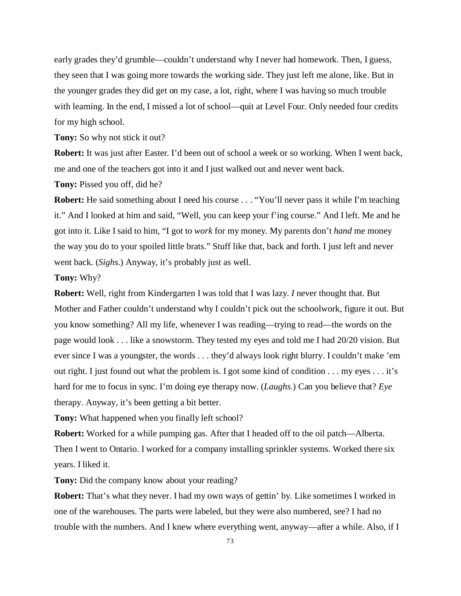early grades they'd grumble—couldn't understand why I never had homework. Then, I guess, they seen that I was going more towards the working side. They just left me alone, like. But in the younger grades they did get on my case, a lot, right, where I was having so much trouble with learning. In the end, I missed a lot of school—quit at Level Four. Only needed four credits for my high school.

**Tony:** So why not stick it out?

**Robert:** It was just after Easter. I'd been out of school a week or so working. When I went back, me and one of the teachers got into it and I just walked out and never went back.

**Tony:** Pissed you off, did he?

**Robert:** He said something about I need his course . . . "You'll never pass it while I'm teaching it." And I looked at him and said, "Well, you can keep your f'ing course." And I left. Me and he got into it. Like I said to him, "I got to *work* for my money. My parents don't *hand* me money the way you do to your spoiled little brats." Stuff like that, back and forth. I just left and never went back. (*Sighs.*) Anyway, it's probably just as well.

**Tony:** Why?

**Robert:** Well, right from Kindergarten I was told that I was lazy. *I* never thought that. But Mother and Father couldn't understand why I couldn't pick out the schoolwork, figure it out. But you know something? All my life, whenever I was reading—trying to read—the words on the page would look . . . like a snowstorm. They tested my eyes and told me I had 20/20 vision. But ever since I was a youngster, the words . . . they'd always look right blurry. I couldn't make 'em out right. I just found out what the problem is. I got some kind of condition . . . my eyes . . . it's hard for me to focus in sync. I'm doing eye therapy now. (*Laughs.*) Can you believe that? *Eye* therapy. Anyway, it's been getting a bit better.

**Tony:** What happened when you finally left school?

**Robert:** Worked for a while pumping gas. After that I headed off to the oil patch—Alberta. Then I went to Ontario. I worked for a company installing sprinkler systems. Worked there six years. I liked it.

**Tony:** Did the company know about your reading?

**Robert:** That's what they never. I had my own ways of gettin' by. Like sometimes I worked in one of the warehouses. The parts were labeled, but they were also numbered, see? I had no trouble with the numbers. And I knew where everything went, anyway—after a while. Also, if I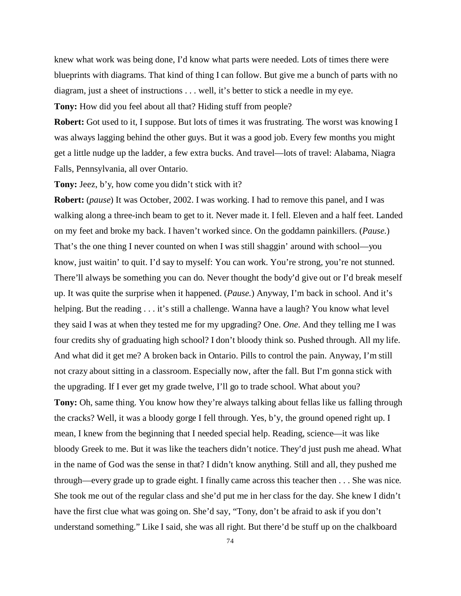knew what work was being done, I'd know what parts were needed. Lots of times there were blueprints with diagrams. That kind of thing I can follow. But give me a bunch of parts with no diagram, just a sheet of instructions . . . well, it's better to stick a needle in my eye.

**Tony:** How did you feel about all that? Hiding stuff from people?

**Robert:** Got used to it, I suppose. But lots of times it was frustrating. The worst was knowing I was always lagging behind the other guys. But it was a good job. Every few months you might get a little nudge up the ladder, a few extra bucks. And travel—lots of travel: Alabama, Niagra Falls, Pennsylvania, all over Ontario.

**Tony:** Jeez, b'y, how come you didn't stick with it?

**Robert:** (*pause*) It was October, 2002. I was working. I had to remove this panel, and I was walking along a three-inch beam to get to it. Never made it. I fell. Eleven and a half feet. Landed on my feet and broke my back. I haven't worked since. On the goddamn painkillers. (*Pause.*) That's the one thing I never counted on when I was still shaggin' around with school—you know, just waitin' to quit. I'd say to myself: You can work. You're strong, you're not stunned. There'll always be something you can do. Never thought the body'd give out or I'd break meself up. It was quite the surprise when it happened. (*Pause.*) Anyway, I'm back in school. And it's helping. But the reading . . . it's still a challenge. Wanna have a laugh? You know what level they said I was at when they tested me for my upgrading? One. *One*. And they telling me I was four credits shy of graduating high school? I don't bloody think so. Pushed through. All my life. And what did it get me? A broken back in Ontario. Pills to control the pain. Anyway, I'm still not crazy about sitting in a classroom. Especially now, after the fall. But I'm gonna stick with the upgrading. If I ever get my grade twelve, I'll go to trade school. What about you? **Tony:** Oh, same thing. You know how they're always talking about fellas like us falling through the cracks? Well, it was a bloody gorge I fell through. Yes, b'y, the ground opened right up. I mean, I knew from the beginning that I needed special help. Reading, science—it was like bloody Greek to me. But it was like the teachers didn't notice. They'd just push me ahead. What in the name of God was the sense in that? I didn't know anything. Still and all, they pushed me through—every grade up to grade eight. I finally came across this teacher then . . . She was nice. She took me out of the regular class and she'd put me in her class for the day. She knew I didn't have the first clue what was going on. She'd say, "Tony, don't be afraid to ask if you don't understand something." Like I said, she was all right. But there'd be stuff up on the chalkboard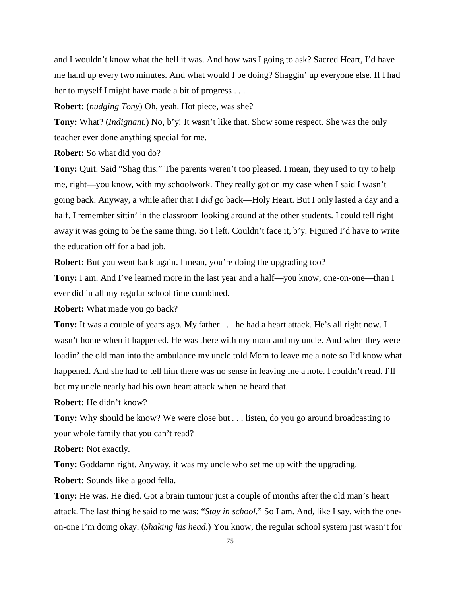and I wouldn't know what the hell it was. And how was I going to ask? Sacred Heart, I'd have me hand up every two minutes. And what would I be doing? Shaggin' up everyone else. If I had her to myself I might have made a bit of progress . . .

**Robert:** (*nudging Tony*) Oh, yeah. Hot piece, was she?

**Tony:** What? (*Indignant.*) No, b'y! It wasn't like that. Show some respect. She was the only teacher ever done anything special for me.

**Robert:** So what did you do?

**Tony:** Quit. Said "Shag this." The parents weren't too pleased. I mean, they used to try to help me, right—you know, with my schoolwork. They really got on my case when I said I wasn't going back. Anyway, a while after that I *did* go back—Holy Heart. But I only lasted a day and a half. I remember sittin' in the classroom looking around at the other students. I could tell right away it was going to be the same thing. So I left. Couldn't face it, b'y. Figured I'd have to write the education off for a bad job.

**Robert:** But you went back again. I mean, you're doing the upgrading too?

**Tony:** I am. And I've learned more in the last year and a half—you know, one-on-one—than I ever did in all my regular school time combined.

**Robert:** What made you go back?

**Tony:** It was a couple of years ago. My father . . . he had a heart attack. He's all right now. I wasn't home when it happened. He was there with my mom and my uncle. And when they were loadin' the old man into the ambulance my uncle told Mom to leave me a note so I'd know what happened. And she had to tell him there was no sense in leaving me a note. I couldn't read. I'll bet my uncle nearly had his own heart attack when he heard that.

**Robert:** He didn't know?

**Tony:** Why should he know? We were close but . . . listen, do you go around broadcasting to your whole family that you can't read?

**Robert:** Not exactly.

**Tony:** Goddamn right. Anyway, it was my uncle who set me up with the upgrading.

**Robert:** Sounds like a good fella.

**Tony:** He was. He died. Got a brain tumour just a couple of months after the old man's heart attack. The last thing he said to me was: "*Stay in school*." So I am. And, like I say, with the oneon-one I'm doing okay. (*Shaking his head*.) You know, the regular school system just wasn't for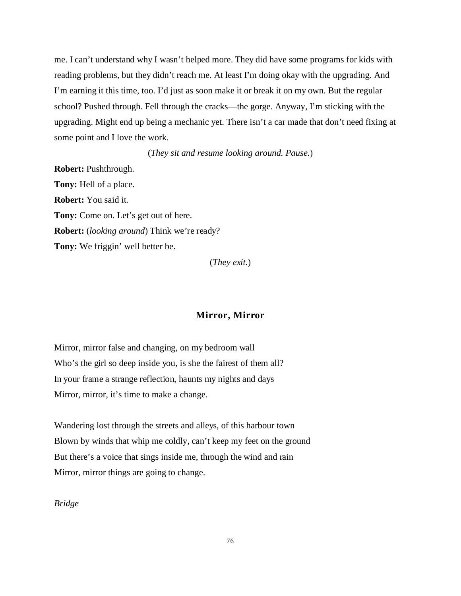me. I can't understand why I wasn't helped more. They did have some programs for kids with reading problems, but they didn't reach me. At least I'm doing okay with the upgrading. And I'm earning it this time, too. I'd just as soon make it or break it on my own. But the regular school? Pushed through. Fell through the cracks—the gorge. Anyway, I'm sticking with the upgrading. Might end up being a mechanic yet. There isn't a car made that don't need fixing at some point and I love the work.

(*They sit and resume looking around. Pause.*)

**Robert:** Pushthrough. **Tony:** Hell of a place. **Robert:** You said it. **Tony:** Come on. Let's get out of here. **Robert:** (*looking around*) Think we're ready? **Tony:** We friggin' well better be.

(*They exit.*)

## **Mirror, Mirror**

Mirror, mirror false and changing, on my bedroom wall Who's the girl so deep inside you, is she the fairest of them all? In your frame a strange reflection, haunts my nights and days Mirror, mirror, it's time to make a change.

Wandering lost through the streets and alleys, of this harbour town Blown by winds that whip me coldly, can't keep my feet on the ground But there's a voice that sings inside me, through the wind and rain Mirror, mirror things are going to change.

*Bridge*